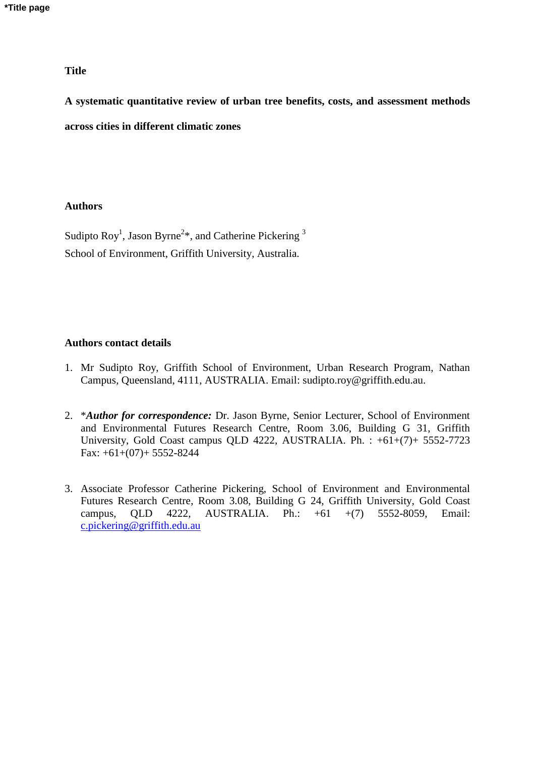# **Title**

**A systematic quantitative review of urban tree benefits, costs, and assessment methods across cities in different climatic zones**

# **Authors**

Sudipto  $\text{Roy}^1$ , Jason Byrne<sup>2\*</sup>, and Catherine Pickering <sup>3</sup> School of Environment, Griffith University, Australia.

# **Authors contact details**

- 1. Mr Sudipto Roy, Griffith School of Environment, Urban Research Program, Nathan Campus, Queensland, 4111, AUSTRALIA. Email: [sudipto.roy@griffith.edu.au.](mailto:sudipto.roy@griffith.edu.au)
- 2. \**Author for correspondence:* Dr. Jason Byrne, Senior Lecturer, School of Environment and Environmental Futures Research Centre, Room 3.06, Building G 31, Griffith University, Gold Coast campus QLD 4222, AUSTRALIA. Ph. : +61+(7)+ 5552-7723 Fax:  $+61+(07)+5552-8244$
- 3. Associate Professor Catherine Pickering, School of Environment and Environmental Futures Research Centre, Room 3.08, Building G 24, Griffith University, Gold Coast campus, QLD 4222, AUSTRALIA. Ph.: +61 +(7) 5552-8059, Email: [c.pickering@griffith.edu.au](mailto:c.pickering@griffith.edu.au)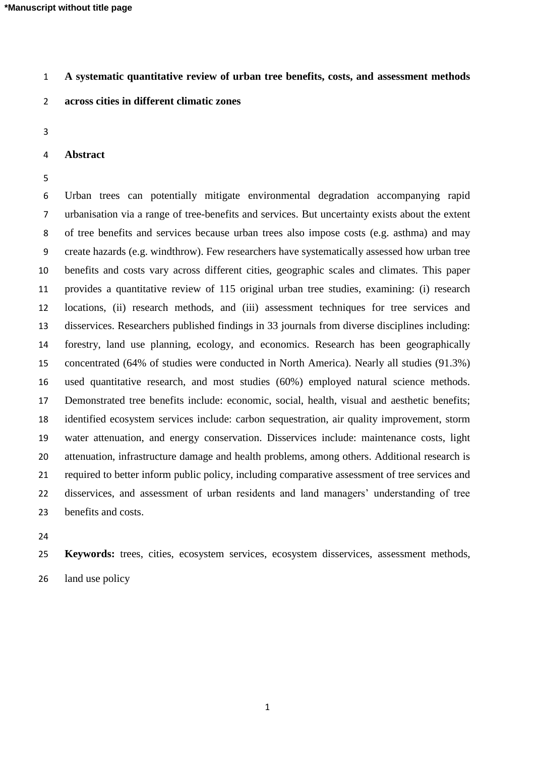## **A systematic quantitative review of urban tree benefits, costs, and assessment methods**

- **across cities in different climatic zones**
- 

## **Abstract**

 Urban trees can potentially mitigate environmental degradation accompanying rapid urbanisation via a range of tree-benefits and services. But uncertainty exists about the extent of tree benefits and services because urban trees also impose costs (e.g. asthma) and may create hazards (e.g. windthrow). Few researchers have systematically assessed how urban tree benefits and costs vary across different cities, geographic scales and climates. This paper provides a quantitative review of 115 original urban tree studies, examining: (i) research locations, (ii) research methods, and (iii) assessment techniques for tree services and disservices. Researchers published findings in 33 journals from diverse disciplines including: forestry, land use planning, ecology, and economics. Research has been geographically concentrated (64% of studies were conducted in North America). Nearly all studies (91.3%) used quantitative research, and most studies (60%) employed natural science methods. Demonstrated tree benefits include: economic, social, health, visual and aesthetic benefits; identified ecosystem services include: carbon sequestration, air quality improvement, storm water attenuation, and energy conservation. Disservices include: maintenance costs, light attenuation, infrastructure damage and health problems, among others. Additional research is required to better inform public policy, including comparative assessment of tree services and disservices, and assessment of urban residents and land managers" understanding of tree benefits and costs.

- 
- **Keywords:** trees, cities, ecosystem services, ecosystem disservices, assessment methods,
- land use policy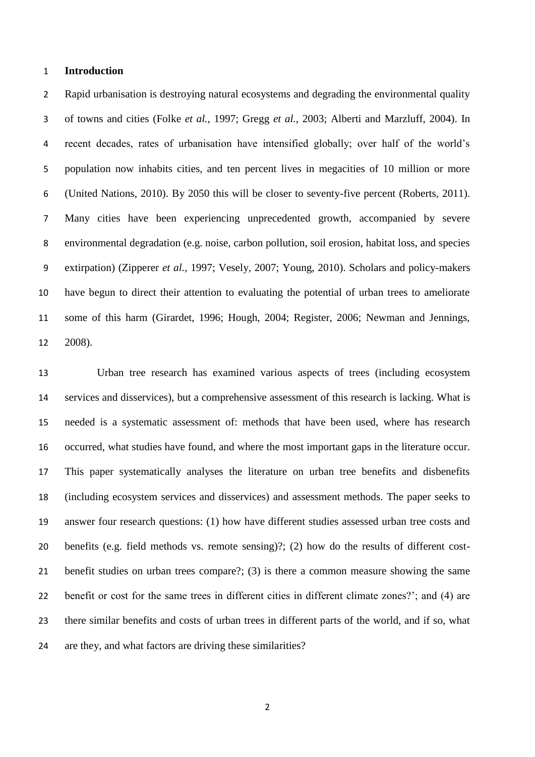## **Introduction**

 Rapid urbanisation is destroying natural ecosystems and degrading the environmental quality of towns and cities (Folke *et al.*, 1997; Gregg *et al.*, 2003; Alberti and Marzluff, 2004). In recent decades, rates of urbanisation have intensified globally; over half of the world"s population now inhabits cities, and ten percent lives in megacities of 10 million or more (United Nations, 2010). By 2050 this will be closer to seventy-five percent (Roberts, 2011). Many cities have been experiencing unprecedented growth, accompanied by severe environmental degradation (e.g. noise, carbon pollution, soil erosion, habitat loss, and species extirpation) (Zipperer *et al.*, 1997; Vesely, 2007; Young, 2010). Scholars and policy-makers have begun to direct their attention to evaluating the potential of urban trees to ameliorate some of this harm (Girardet, 1996; Hough, 2004; Register, 2006; Newman and Jennings, 2008).

 Urban tree research has examined various aspects of trees (including ecosystem services and disservices), but a comprehensive assessment of this research is lacking. What is needed is a systematic assessment of: methods that have been used, where has research occurred, what studies have found, and where the most important gaps in the literature occur. This paper systematically analyses the literature on urban tree benefits and disbenefits (including ecosystem services and disservices) and assessment methods. The paper seeks to answer four research questions: (1) how have different studies assessed urban tree costs and benefits (e.g. field methods vs. remote sensing)?; (2) how do the results of different cost- benefit studies on urban trees compare?; (3) is there a common measure showing the same 22 benefit or cost for the same trees in different cities in different climate zones?'; and (4) are there similar benefits and costs of urban trees in different parts of the world, and if so, what are they, and what factors are driving these similarities?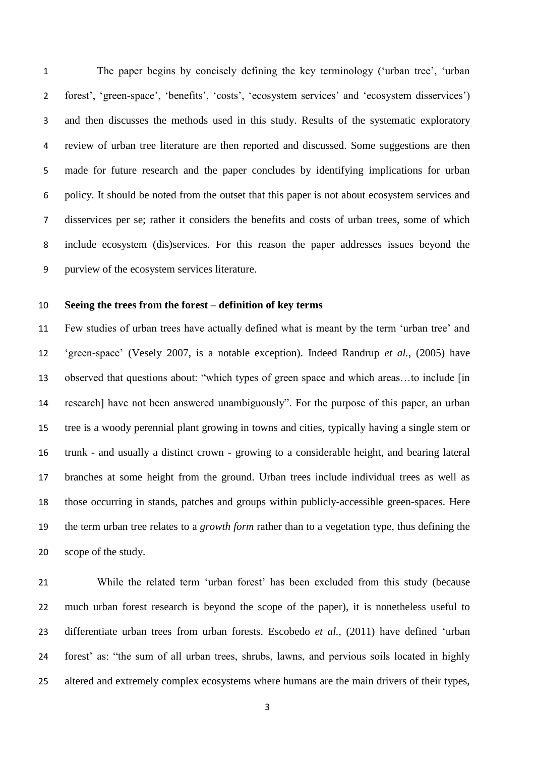The paper begins by concisely defining the key terminology ("urban tree", "urban 2 forest', 'green-space', 'benefits', 'costs', 'ecosystem services' and 'ecosystem disservices') and then discusses the methods used in this study. Results of the systematic exploratory review of urban tree literature are then reported and discussed. Some suggestions are then made for future research and the paper concludes by identifying implications for urban policy. It should be noted from the outset that this paper is not about ecosystem services and disservices per se; rather it considers the benefits and costs of urban trees, some of which include ecosystem (dis)services. For this reason the paper addresses issues beyond the purview of the ecosystem services literature.

## **Seeing the trees from the forest – definition of key terms**

 Few studies of urban trees have actually defined what is meant by the term "urban tree" and "green-space" (Vesely 2007, is a notable exception). Indeed Randrup *et al.*, (2005) have observed that questions about: "which types of green space and which areas…to include [in research] have not been answered unambiguously". For the purpose of this paper, an urban tree is a woody perennial plant growing in towns and cities, typically having a single stem or trunk - and usually a distinct crown - growing to a considerable height, and bearing lateral branches at some height from the ground. Urban trees include individual trees as well as those occurring in stands, patches and groups within publicly-accessible green-spaces. Here the term urban tree relates to a *growth form* rather than to a vegetation type, thus defining the scope of the study.

 While the related term "urban forest" has been excluded from this study (because much urban forest research is beyond the scope of the paper), it is nonetheless useful to differentiate urban trees from urban forests. Escobedo *et al.*, (2011) have defined "urban forest" as: "the sum of all urban trees, shrubs, lawns, and pervious soils located in highly altered and extremely complex ecosystems where humans are the main drivers of their types,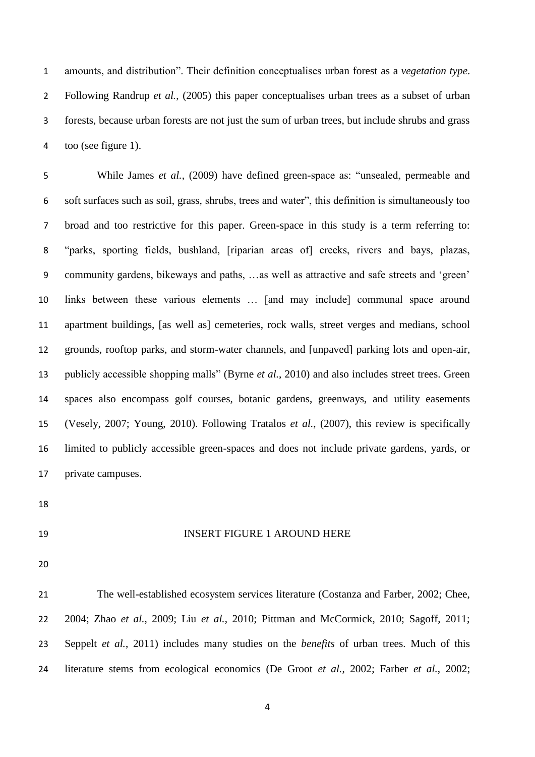amounts, and distribution". Their definition conceptualises urban forest as a *vegetation type*. Following Randrup *et al.*, (2005) this paper conceptualises urban trees as a subset of urban forests, because urban forests are not just the sum of urban trees, but include shrubs and grass too (see figure 1).

 While James *et al.*, (2009) have defined green-space as: "unsealed, permeable and soft surfaces such as soil, grass, shrubs, trees and water", this definition is simultaneously too broad and too restrictive for this paper. Green-space in this study is a term referring to: "parks, sporting fields, bushland, [riparian areas of] creeks, rivers and bays, plazas, community gardens, bikeways and paths, …as well as attractive and safe streets and "green" links between these various elements … [and may include] communal space around apartment buildings, [as well as] cemeteries, rock walls, street verges and medians, school grounds, rooftop parks, and storm-water channels, and [unpaved] parking lots and open-air, publicly accessible shopping malls" (Byrne *et al.*, 2010) and also includes street trees. Green spaces also encompass golf courses, botanic gardens, greenways, and utility easements (Vesely, 2007; Young, 2010). Following Tratalos *et al.*, (2007), this review is specifically limited to publicly accessible green-spaces and does not include private gardens, yards, or private campuses.

#### INSERT FIGURE 1 AROUND HERE

 The well-established ecosystem services literature (Costanza and Farber, 2002; Chee, 2004; Zhao *et al.*, 2009; Liu *et al.*, 2010; Pittman and McCormick, 2010; Sagoff, 2011; Seppelt *et al.*, 2011) includes many studies on the *benefits* of urban trees. Much of this literature stems from ecological economics (De Groot *et al.*, 2002; Farber *et al.*, 2002;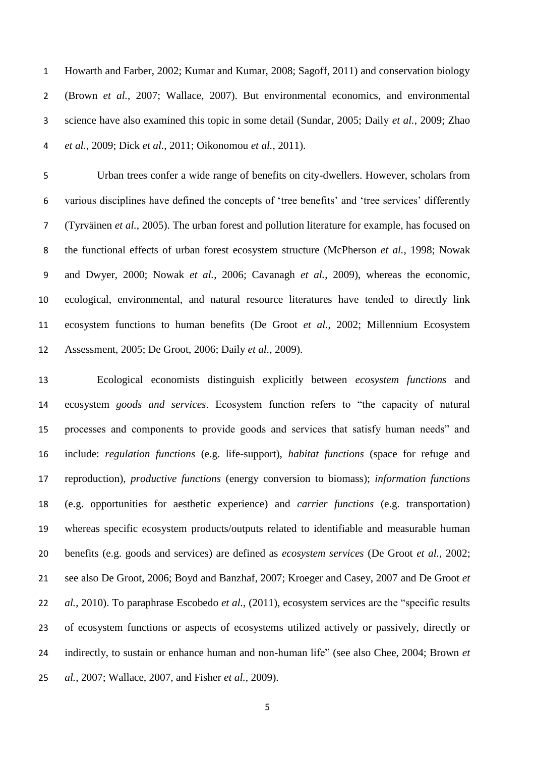Howarth and Farber, 2002; Kumar and Kumar, 2008; Sagoff, 2011) and conservation biology (Brown *et al.*, 2007; Wallace, 2007). But environmental economics, and environmental science have also examined this topic in some detail (Sundar, 2005; Daily *et al.*, 2009; Zhao *et al.*, 2009; Dick *et al.*, 2011; Oikonomou *et al.*, 2011).

 Urban trees confer a wide range of benefits on city-dwellers. However, scholars from various disciplines have defined the concepts of "tree benefits" and "tree services" differently (Tyrväinen *et al.*, 2005). The urban forest and pollution literature for example, has focused on the functional effects of urban forest ecosystem structure (McPherson *et al.*, 1998; Nowak and Dwyer, 2000; Nowak *et al.*, 2006; Cavanagh *et al.*, 2009), whereas the economic, ecological, environmental, and natural resource literatures have tended to directly link ecosystem functions to human benefits (De Groot *et al.*, 2002; Millennium Ecosystem Assessment, 2005; De Groot, 2006; Daily *et al.*, 2009).

 Ecological economists distinguish explicitly between *ecosystem functions* and ecosystem *goods and services*. Ecosystem function refers to "the capacity of natural processes and components to provide goods and services that satisfy human needs" and include: *regulation functions* (e.g. life-support), *habitat functions* (space for refuge and reproduction), *productive functions* (energy conversion to biomass); *information functions* (e.g. opportunities for aesthetic experience) and *carrier functions* (e.g. transportation) whereas specific ecosystem products/outputs related to identifiable and measurable human benefits (e.g. goods and services) are defined as *ecosystem services* (De Groot *et al.*, 2002; see also De Groot, 2006; Boyd and Banzhaf, 2007; Kroeger and Casey, 2007 and De Groot *et al.*, 2010). To paraphrase Escobedo *et al.*, (2011), ecosystem services are the "specific results of ecosystem functions or aspects of ecosystems utilized actively or passively, directly or indirectly, to sustain or enhance human and non-human life" (see also Chee, 2004; Brown *et al.*, 2007; Wallace, 2007, and Fisher *et al.*, 2009).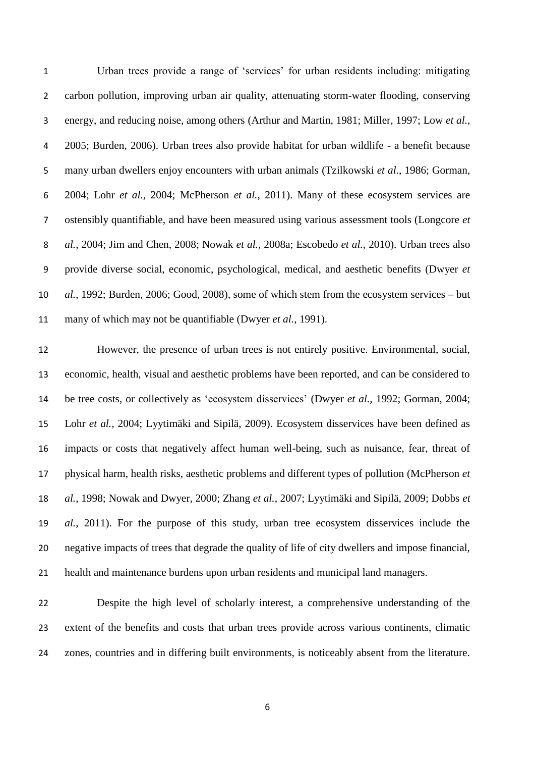Urban trees provide a range of "services" for urban residents including: mitigating carbon pollution, improving urban air quality, attenuating storm-water flooding, conserving energy, and reducing noise, among others (Arthur and Martin, 1981; Miller, 1997; Low *et al.*, 2005; Burden, 2006). Urban trees also provide habitat for urban wildlife - a benefit because many urban dwellers enjoy encounters with urban animals (Tzilkowski *et al.*, 1986; Gorman, 2004; Lohr *et al.*, 2004; McPherson *et al.*, 2011). Many of these ecosystem services are ostensibly quantifiable, and have been measured using various assessment tools (Longcore *et al.*, 2004; Jim and Chen, 2008; Nowak *et al.*, 2008a; Escobedo *et al.*, 2010). Urban trees also provide diverse social, economic, psychological, medical, and aesthetic benefits (Dwyer *et al.*, 1992; Burden, 2006; Good, 2008), some of which stem from the ecosystem services – but many of which may not be quantifiable (Dwyer *et al.*, 1991).

 However, the presence of urban trees is not entirely positive. Environmental, social, economic, health, visual and aesthetic problems have been reported, and can be considered to be tree costs, or collectively as "ecosystem disservices" (Dwyer *et al.*, 1992; Gorman, 2004; Lohr *et al.*, 2004; Lyytimäki and Sipilä, 2009). Ecosystem disservices have been defined as impacts or costs that negatively affect human well-being, such as nuisance, fear, threat of physical harm, health risks, aesthetic problems and different types of pollution (McPherson *et al.*, 1998; Nowak and Dwyer, 2000; Zhang *et al.*, 2007; Lyytimäki and Sipilä, 2009; Dobbs *et al.*, 2011). For the purpose of this study, urban tree ecosystem disservices include the negative impacts of trees that degrade the quality of life of city dwellers and impose financial, health and maintenance burdens upon urban residents and municipal land managers.

 Despite the high level of scholarly interest, a comprehensive understanding of the extent of the benefits and costs that urban trees provide across various continents, climatic zones, countries and in differing built environments, is noticeably absent from the literature.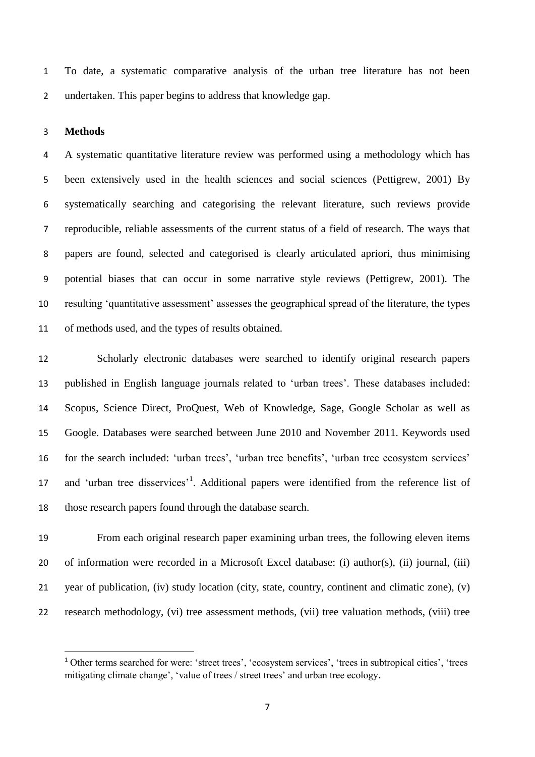To date, a systematic comparative analysis of the urban tree literature has not been undertaken. This paper begins to address that knowledge gap.

## **Methods**

**.** 

 A systematic quantitative literature review was performed using a methodology which has been extensively used in the health sciences and social sciences (Pettigrew, 2001) By systematically searching and categorising the relevant literature, such reviews provide reproducible, reliable assessments of the current status of a field of research. The ways that papers are found, selected and categorised is clearly articulated apriori, thus minimising potential biases that can occur in some narrative style reviews (Pettigrew, 2001). The resulting "quantitative assessment" assesses the geographical spread of the literature, the types of methods used, and the types of results obtained.

 Scholarly electronic databases were searched to identify original research papers published in English language journals related to "urban trees". These databases included: Scopus, Science Direct, ProQuest, Web of Knowledge, Sage, Google Scholar as well as Google. Databases were searched between June 2010 and November 2011. Keywords used 16 for the search included: 'urban trees', 'urban tree benefits', 'urban tree ecosystem services' 17 and 'urban tree disservices'<sup>1</sup>. Additional papers were identified from the reference list of those research papers found through the database search.

 From each original research paper examining urban trees, the following eleven items of information were recorded in a Microsoft Excel database: (i) author(s), (ii) journal, (iii) year of publication, (iv) study location (city, state, country, continent and climatic zone), (v) research methodology, (vi) tree assessment methods, (vii) tree valuation methods, (viii) tree

<sup>&</sup>lt;sup>1</sup> Other terms searched for were: 'street trees', 'ecosystem services', 'trees in subtropical cities', 'trees mitigating climate change', 'value of trees / street trees' and urban tree ecology.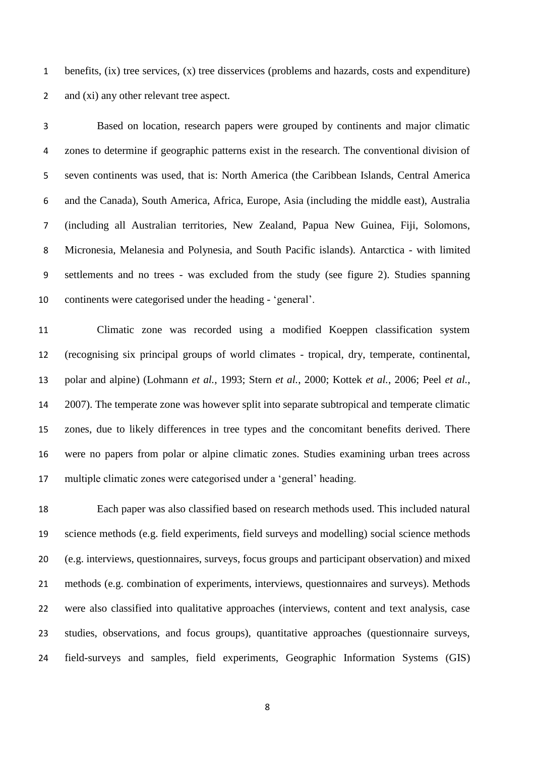benefits, (ix) tree services, (x) tree disservices (problems and hazards, costs and expenditure) 2 and (xi) any other relevant tree aspect.

 Based on location, research papers were grouped by continents and major climatic zones to determine if geographic patterns exist in the research. The conventional division of seven continents was used, that is: North America (the [Caribbean Islands,](http://www.worldatlas.com/webimage/countrys/carib.htm) [Central America](http://www.worldatlas.com/webimage/countrys/camerica.htm) and the Canada), South America, Africa, Europe, Asia (including the middle east), Australia (including all Australian territories, New Zealand, Papua New Guinea, Fiji, Solomons, Micronesia, Melanesia and Polynesia, and South Pacific islands). Antarctica - with limited settlements and no trees - was excluded from the study (see figure 2). Studies spanning continents were categorised under the heading - "general".

 Climatic zone was recorded using a modified Koeppen classification system (recognising six principal groups of world climates - tropical, dry, temperate, continental, polar and alpine) (Lohmann *et al.*, 1993; Stern *et al.*, 2000; Kottek *et al.*, 2006; Peel *et al.*, 2007). The temperate zone was however split into separate subtropical and temperate climatic zones, due to likely differences in tree types and the concomitant benefits derived. There were no papers from polar or alpine climatic zones. Studies examining urban trees across multiple climatic zones were categorised under a "general" heading.

 Each paper was also classified based on research methods used. This included natural science methods (e.g. field experiments, field surveys and modelling) social science methods (e.g. interviews, questionnaires, surveys, focus groups and participant observation) and mixed methods (e.g. combination of experiments, interviews, questionnaires and surveys). Methods were also classified into qualitative approaches (interviews, content and text analysis, case studies, observations, and focus groups), quantitative approaches (questionnaire surveys, field-surveys and samples, field experiments, Geographic Information Systems (GIS)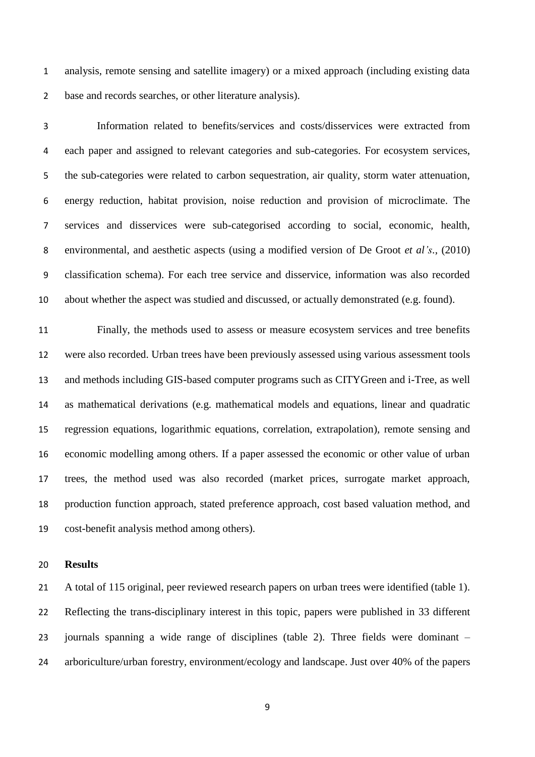analysis, remote sensing and satellite imagery) or a mixed approach (including existing data base and records searches, or other literature analysis).

 Information related to benefits/services and costs/disservices were extracted from each paper and assigned to relevant categories and sub-categories. For ecosystem services, the sub-categories were related to carbon sequestration, air quality, storm water attenuation, energy reduction, habitat provision, noise reduction and provision of microclimate. The services and disservices were sub-categorised according to social, economic, health, environmental, and aesthetic aspects (using a modified version of De Groot *et al's.*, (2010) classification schema). For each tree service and disservice, information was also recorded about whether the aspect was studied and discussed, or actually demonstrated (e.g. found).

 Finally, the methods used to assess or measure ecosystem services and tree benefits were also recorded. Urban trees have been previously assessed using various assessment tools and methods including GIS-based computer programs such as CITYGreen and i-Tree, as well as mathematical derivations (e.g. mathematical models and equations, linear and quadratic regression equations, logarithmic equations, correlation, extrapolation), remote sensing and economic modelling among others. If a paper assessed the economic or other value of urban trees, the method used was also recorded (market prices, surrogate market approach, production function approach, stated preference approach, cost based valuation method, and cost-benefit analysis method among others).

## **Results**

 A total of 115 original, peer reviewed research papers on urban trees were identified (table 1). Reflecting the trans-disciplinary interest in this topic, papers were published in 33 different journals spanning a wide range of disciplines (table 2). Three fields were dominant – arboriculture/urban forestry, environment/ecology and landscape. Just over 40% of the papers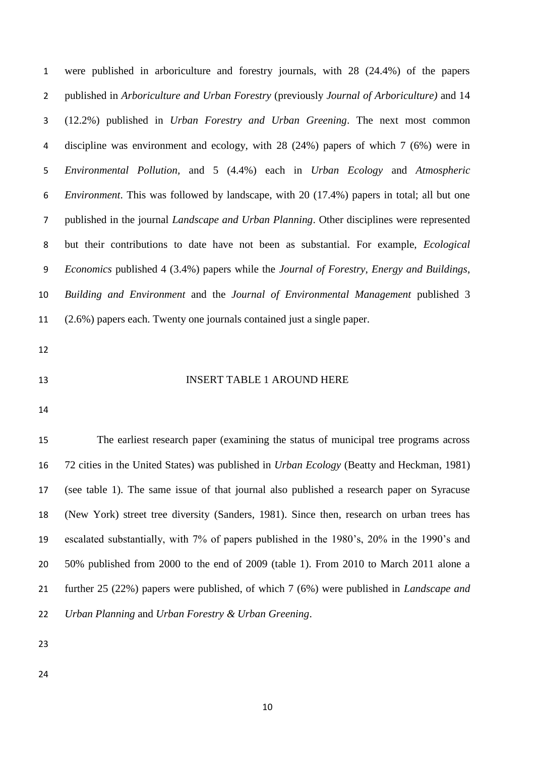were published in arboriculture and forestry journals, with 28 (24.4%) of the papers published in *Arboriculture and Urban Forestry* (previously *Journal of Arboriculture)* and 14 (12.2%) published in *Urban Forestry and Urban Greening*. The next most common discipline was environment and ecology, with 28 (24%) papers of which 7 (6%) were in *Environmental Pollution,* and 5 (4.4%) each in *Urban Ecology* and *Atmospheric Environment*. This was followed by landscape, with 20 (17.4%) papers in total; all but one published in the journal *Landscape and Urban Planning*. Other disciplines were represented but their contributions to date have not been as substantial. For example, *Ecological Economics* published 4 (3.4%) papers while the *Journal of Forestry*, *Energy and Buildings*, *Building and Environment* and the *Journal of Environmental Management* published 3 (2.6%) papers each. Twenty one journals contained just a single paper.

- 
- 

## INSERT TABLE 1 AROUND HERE

 The earliest research paper (examining the status of municipal tree programs across 72 cities in the United States) was published in *Urban Ecology* (Beatty and Heckman, 1981) (see table 1). The same issue of that journal also published a research paper on Syracuse (New York) street tree diversity (Sanders, 1981). Since then, research on urban trees has escalated substantially, with 7% of papers published in the 1980"s, 20% in the 1990"s and 50% published from 2000 to the end of 2009 (table 1). From 2010 to March 2011 alone a further 25 (22%) papers were published, of which 7 (6%) were published in *Landscape and Urban Planning* and *Urban Forestry & Urban Greening*.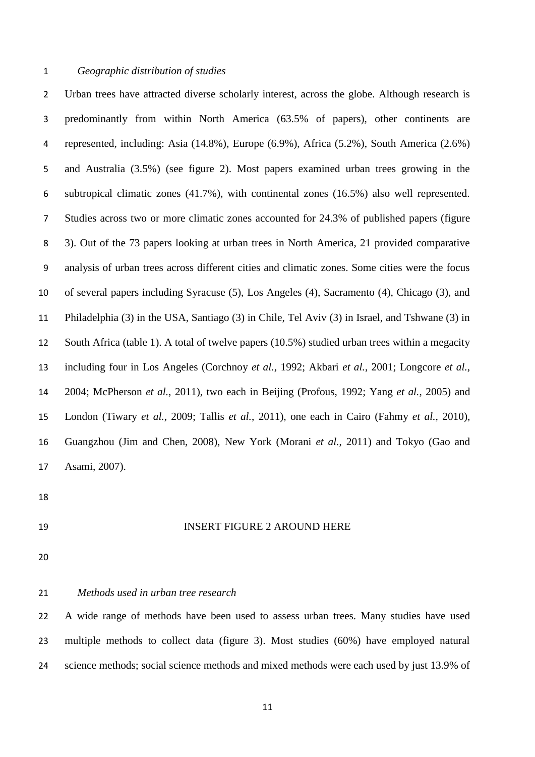## *Geographic distribution of studies*

 Urban trees have attracted diverse scholarly interest, across the globe. Although research is predominantly from within North America (63.5% of papers), other continents are represented, including: Asia (14.8%), Europe (6.9%), Africa (5.2%), South America (2.6%) and Australia (3.5%) (see figure 2). Most papers examined urban trees growing in the subtropical climatic zones (41.7%), with continental zones (16.5%) also well represented. Studies across two or more climatic zones accounted for 24.3% of published papers (figure 3). Out of the 73 papers looking at urban trees in North America, 21 provided comparative analysis of urban trees across different cities and climatic zones. Some cities were the focus of several papers including Syracuse (5), Los Angeles (4), Sacramento (4), Chicago (3), and Philadelphia (3) in the USA, Santiago (3) in Chile, Tel Aviv (3) in Israel, and Tshwane (3) in South Africa (table 1). A total of twelve papers (10.5%) studied urban trees within a megacity including four in Los Angeles (Corchnoy *et al.*, 1992; Akbari *et al.*, 2001; Longcore *et al.*, 2004; McPherson *et al.*, 2011), two each in Beijing (Profous, 1992; Yang *et al.*, 2005) and London (Tiwary *et al.*, 2009; Tallis *et al.*, 2011), one each in Cairo (Fahmy *et al.*, 2010), Guangzhou (Jim and Chen, 2008), New York (Morani *et al.*, 2011) and Tokyo (Gao and Asami, 2007).

#### INSERT FIGURE 2 AROUND HERE

## *Methods used in urban tree research*

 A wide range of methods have been used to assess urban trees. Many studies have used multiple methods to collect data (figure 3). Most studies (60%) have employed natural science methods; social science methods and mixed methods were each used by just 13.9% of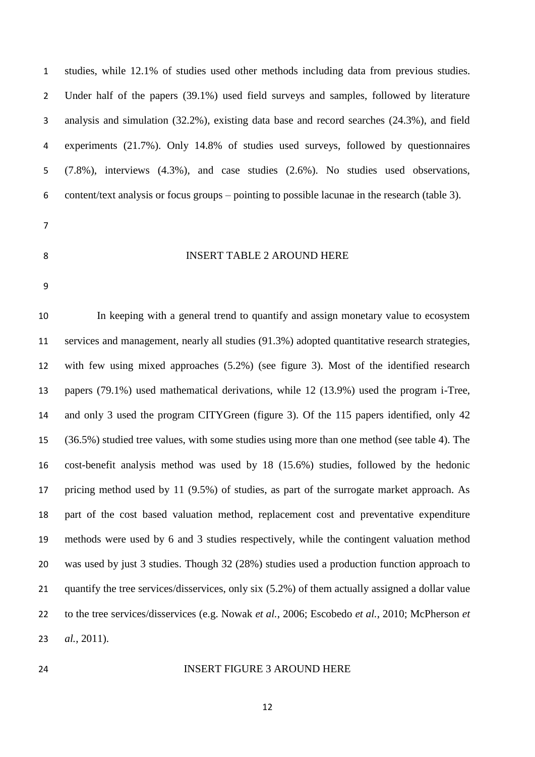studies, while 12.1% of studies used other methods including data from previous studies. Under half of the papers (39.1%) used field surveys and samples, followed by literature analysis and simulation (32.2%), existing data base and record searches (24.3%), and field experiments (21.7%). Only 14.8% of studies used surveys, followed by questionnaires (7.8%), interviews (4.3%), and case studies (2.6%). No studies used observations, content/text analysis or focus groups – pointing to possible lacunae in the research (table 3).

- 
- 

## 8 INSERT TABLE 2 AROUND HERE

 In keeping with a general trend to quantify and assign monetary value to ecosystem services and management, nearly all studies (91.3%) adopted quantitative research strategies, with few using mixed approaches (5.2%) (see figure 3). Most of the identified research papers (79.1%) used mathematical derivations, while 12 (13.9%) used the program i-Tree, and only 3 used the program CITYGreen (figure 3). Of the 115 papers identified, only 42 (36.5%) studied tree values, with some studies using more than one method (see table 4). The cost-benefit analysis method was used by 18 (15.6%) studies, followed by the hedonic pricing method used by 11 (9.5%) of studies, as part of the surrogate market approach. As part of the cost based valuation method, replacement cost and preventative expenditure methods were used by 6 and 3 studies respectively, while the contingent valuation method was used by just 3 studies. Though 32 (28%) studies used a production function approach to 21 quantify the tree services/disservices, only six (5.2%) of them actually assigned a dollar value to the tree services/disservices (e.g. Nowak *et al.*, 2006; Escobedo *et al.*, 2010; McPherson *et al.*, 2011).

### INSERT FIGURE 3 AROUND HERE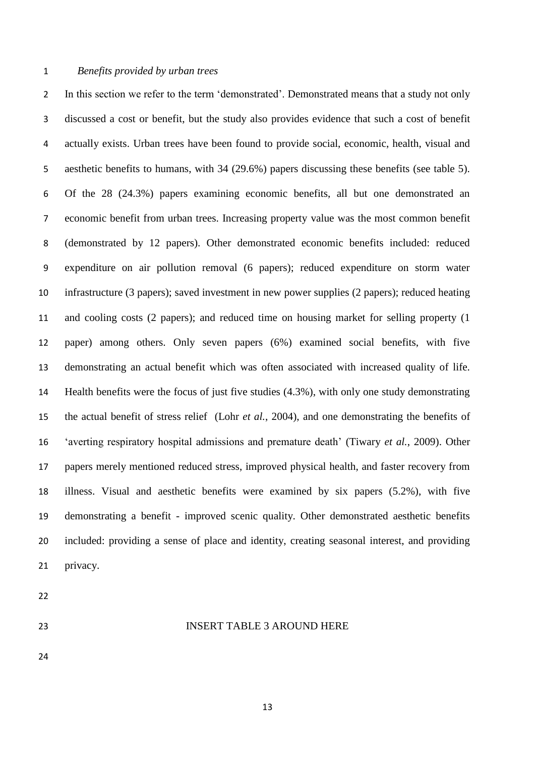## *Benefits provided by urban trees*

 In this section we refer to the term "demonstrated". Demonstrated means that a study not only discussed a cost or benefit, but the study also provides evidence that such a cost of benefit actually exists. Urban trees have been found to provide social, economic, health, visual and aesthetic benefits to humans, with 34 (29.6%) papers discussing these benefits (see table 5). Of the 28 (24.3%) papers examining economic benefits, all but one demonstrated an economic benefit from urban trees. Increasing property value was the most common benefit (demonstrated by 12 papers). Other demonstrated economic benefits included: reduced expenditure on air pollution removal (6 papers); reduced expenditure on storm water infrastructure (3 papers); saved investment in new power supplies (2 papers); reduced heating and cooling costs (2 papers); and reduced time on housing market for selling property (1 paper) among others. Only seven papers (6%) examined social benefits, with five demonstrating an actual benefit which was often associated with increased quality of life. Health benefits were the focus of just five studies (4.3%), with only one study demonstrating the actual benefit of stress relief (Lohr *et al.*, 2004), and one demonstrating the benefits of "averting respiratory hospital admissions and premature death" (Tiwary *et al.*, 2009). Other papers merely mentioned reduced stress, improved physical health, and faster recovery from illness. Visual and aesthetic benefits were examined by six papers (5.2%), with five demonstrating a benefit - improved scenic quality. Other demonstrated aesthetic benefits included: providing a sense of place and identity, creating seasonal interest, and providing privacy.

- 
- 

## INSERT TABLE 3 AROUND HERE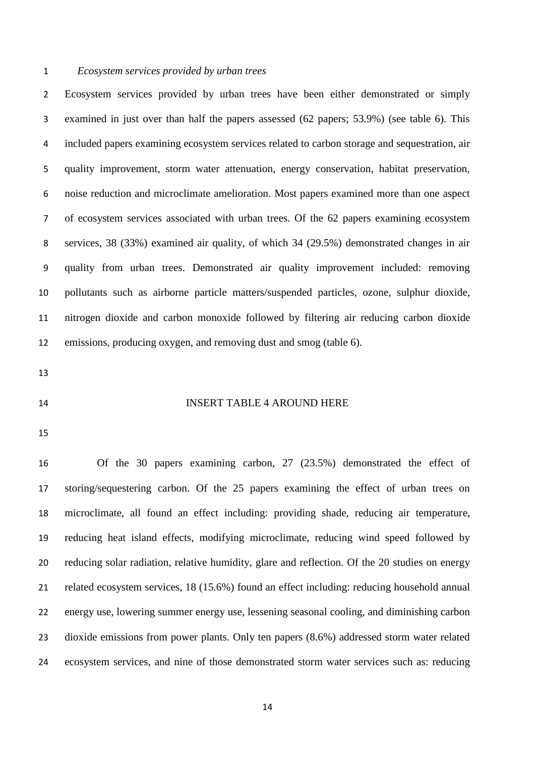### *Ecosystem services provided by urban trees*

 Ecosystem services provided by urban trees have been either demonstrated or simply examined in just over than half the papers assessed (62 papers; 53.9%) (see table 6). This included papers examining ecosystem services related to carbon storage and sequestration, air quality improvement, storm water attenuation, energy conservation, habitat preservation, noise reduction and microclimate amelioration. Most papers examined more than one aspect of ecosystem services associated with urban trees. Of the 62 papers examining ecosystem services, 38 (33%) examined air quality, of which 34 (29.5%) demonstrated changes in air quality from urban trees. Demonstrated air quality improvement included: removing pollutants such as airborne particle matters/suspended particles, ozone, sulphur dioxide, nitrogen dioxide and carbon monoxide followed by filtering air reducing carbon dioxide emissions, producing oxygen, and removing dust and smog (table 6).

## 14 INSERT TABLE 4 AROUND HERE

 Of the 30 papers examining carbon, 27 (23.5%) demonstrated the effect of storing/sequestering carbon. Of the 25 papers examining the effect of urban trees on microclimate, all found an effect including: providing shade, reducing air temperature, reducing heat island effects, modifying microclimate, reducing wind speed followed by reducing solar radiation, relative humidity, glare and reflection. Of the 20 studies on energy related ecosystem services, 18 (15.6%) found an effect including: reducing household annual energy use, lowering summer energy use, lessening seasonal cooling, and diminishing carbon dioxide emissions from power plants. Only ten papers (8.6%) addressed storm water related ecosystem services, and nine of those demonstrated storm water services such as: reducing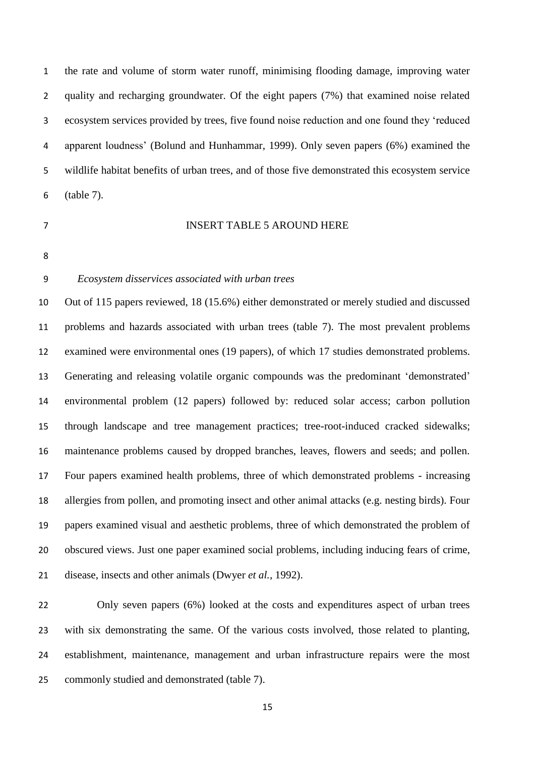the rate and volume of storm water runoff, minimising flooding damage, improving water quality and recharging groundwater. Of the eight papers (7%) that examined noise related ecosystem services provided by trees, five found noise reduction and one found they "reduced apparent loudness" (Bolund and Hunhammar, 1999). Only seven papers (6%) examined the wildlife habitat benefits of urban trees, and of those five demonstrated this ecosystem service (table 7).

## INSERT TABLE 5 AROUND HERE

### *Ecosystem disservices associated with urban trees*

 Out of 115 papers reviewed, 18 (15.6%) either demonstrated or merely studied and discussed problems and hazards associated with urban trees (table 7). The most prevalent problems examined were environmental ones (19 papers), of which 17 studies demonstrated problems. Generating and releasing volatile organic compounds was the predominant "demonstrated" environmental problem (12 papers) followed by: reduced solar access; carbon pollution through landscape and tree management practices; tree-root-induced cracked sidewalks; maintenance problems caused by dropped branches, leaves, flowers and seeds; and pollen. Four papers examined health problems, three of which demonstrated problems - increasing allergies from pollen, and promoting insect and other animal attacks (e.g. nesting birds). Four papers examined visual and aesthetic problems, three of which demonstrated the problem of obscured views. Just one paper examined social problems, including inducing fears of crime, disease, insects and other animals (Dwyer *et al.*, 1992).

 Only seven papers (6%) looked at the costs and expenditures aspect of urban trees with six demonstrating the same. Of the various costs involved, those related to planting, establishment, maintenance, management and urban infrastructure repairs were the most commonly studied and demonstrated (table 7).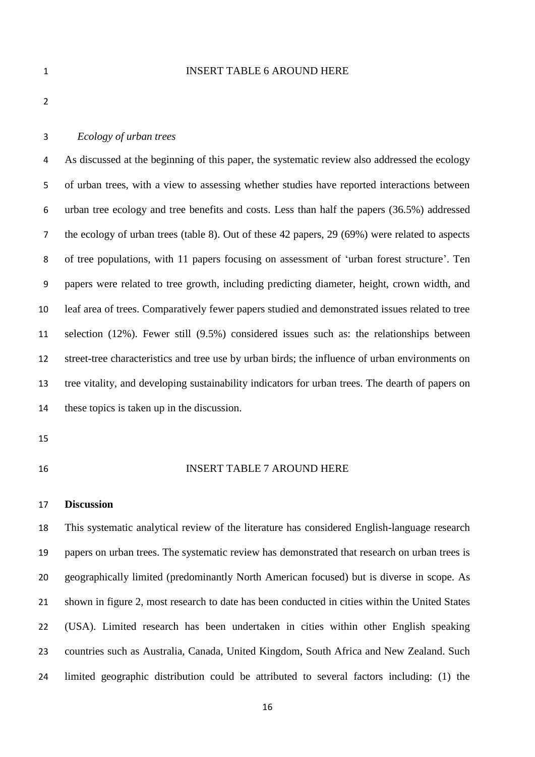#### 1 INSERT TABLE 6 AROUND HERE

# 

### *Ecology of urban trees*

 As discussed at the beginning of this paper, the systematic review also addressed the ecology of urban trees, with a view to assessing whether studies have reported interactions between urban tree ecology and tree benefits and costs. Less than half the papers (36.5%) addressed the ecology of urban trees (table 8). Out of these 42 papers, 29 (69%) were related to aspects of tree populations, with 11 papers focusing on assessment of "urban forest structure". Ten papers were related to tree growth, including predicting diameter, height, crown width, and leaf area of trees. Comparatively fewer papers studied and demonstrated issues related to tree selection (12%). Fewer still (9.5%) considered issues such as: the relationships between street-tree characteristics and tree use by urban birds; the influence of urban environments on tree vitality, and developing sustainability indicators for urban trees. The dearth of papers on these topics is taken up in the discussion.

- 
- 

#### INSERT TABLE 7 AROUND HERE

#### **Discussion**

 This systematic analytical review of the literature has considered English-language research papers on urban trees. The systematic review has demonstrated that research on urban trees is geographically limited (predominantly North American focused) but is diverse in scope. As shown in figure 2, most research to date has been conducted in cities within the United States (USA). Limited research has been undertaken in cities within other English speaking countries such as Australia, Canada, United Kingdom, South Africa and New Zealand. Such limited geographic distribution could be attributed to several factors including: (1) the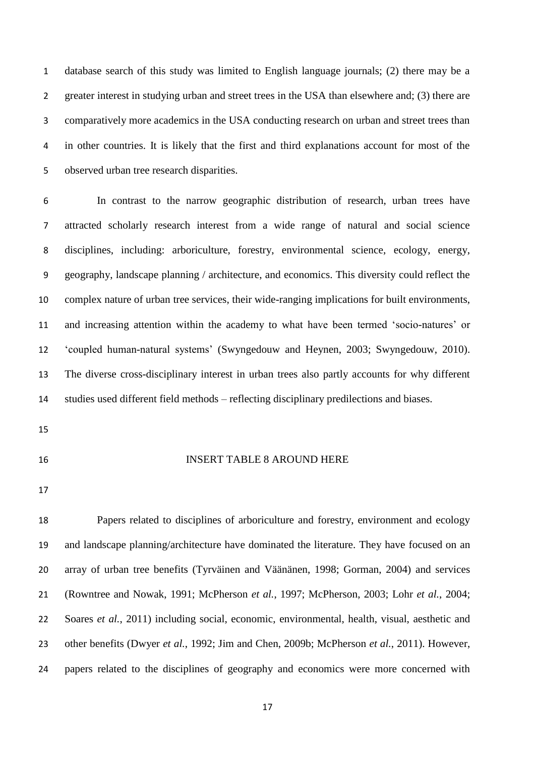database search of this study was limited to English language journals; (2) there may be a greater interest in studying urban and street trees in the USA than elsewhere and; (3) there are comparatively more academics in the USA conducting research on urban and street trees than in other countries. It is likely that the first and third explanations account for most of the observed urban tree research disparities.

 In contrast to the narrow geographic distribution of research, urban trees have attracted scholarly research interest from a wide range of natural and social science disciplines, including: arboriculture, forestry, environmental science, ecology, energy, geography, landscape planning / architecture, and economics. This diversity could reflect the complex nature of urban tree services, their wide-ranging implications for built environments, and increasing attention within the academy to what have been termed "socio-natures" or "coupled human-natural systems" (Swyngedouw and Heynen, 2003; Swyngedouw, 2010). The diverse cross-disciplinary interest in urban trees also partly accounts for why different studies used different field methods – reflecting disciplinary predilections and biases.

- 
- 

## INSERT TABLE 8 AROUND HERE

 Papers related to disciplines of arboriculture and forestry, environment and ecology and landscape planning/architecture have dominated the literature. They have focused on an array of urban tree benefits (Tyrväinen and Väänänen, 1998; Gorman, 2004) and services (Rowntree and Nowak, 1991; McPherson *et al.*, 1997; McPherson, 2003; Lohr *et al.*, 2004; Soares *et al.*, 2011) including social, economic, environmental, health, visual, aesthetic and other benefits (Dwyer *et al.*, 1992; Jim and Chen, 2009b; McPherson *et al.*, 2011). However, papers related to the disciplines of geography and economics were more concerned with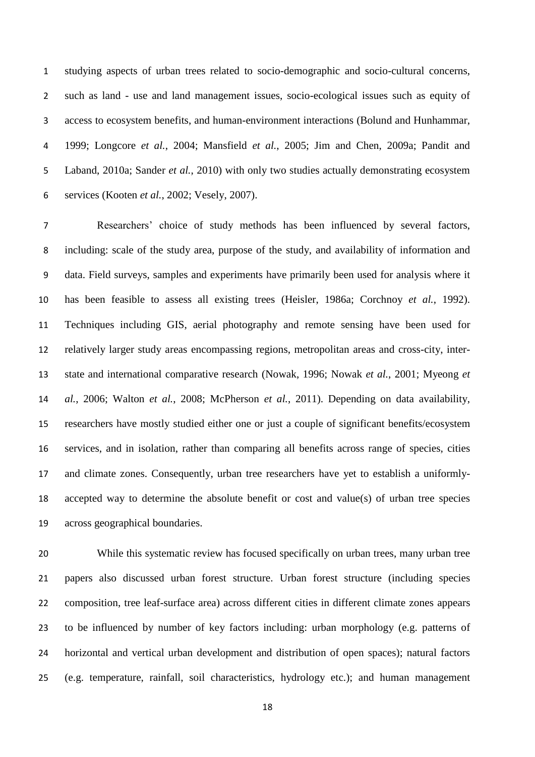studying aspects of urban trees related to socio-demographic and socio-cultural concerns, such as land - use and land management issues, socio-ecological issues such as equity of access to ecosystem benefits, and human-environment interactions (Bolund and Hunhammar, 1999; Longcore *et al.*, 2004; Mansfield *et al.*, 2005; Jim and Chen, 2009a; Pandit and Laband, 2010a; Sander *et al.*, 2010) with only two studies actually demonstrating ecosystem services (Kooten *et al.*, 2002; Vesely, 2007).

 Researchers" choice of study methods has been influenced by several factors, including: scale of the study area, purpose of the study, and availability of information and data. Field surveys, samples and experiments have primarily been used for analysis where it has been feasible to assess all existing trees (Heisler, 1986a; Corchnoy *et al.*, 1992). Techniques including GIS, aerial photography and remote sensing have been used for relatively larger study areas encompassing regions, metropolitan areas and cross-city, inter- state and international comparative research (Nowak, 1996; Nowak *et al.*, 2001; Myeong *et al.*, 2006; Walton *et al.*, 2008; McPherson *et al.*, 2011). Depending on data availability, researchers have mostly studied either one or just a couple of significant benefits/ecosystem services, and in isolation, rather than comparing all benefits across range of species, cities and climate zones. Consequently, urban tree researchers have yet to establish a uniformly- accepted way to determine the absolute benefit or cost and value(s) of urban tree species across geographical boundaries.

 While this systematic review has focused specifically on urban trees, many urban tree papers also discussed urban forest structure. Urban forest structure (including species composition, tree leaf-surface area) across different cities in different climate zones appears to be influenced by number of key factors including: urban morphology (e.g. patterns of horizontal and vertical urban development and distribution of open spaces); natural factors (e.g. temperature, rainfall, soil characteristics, hydrology etc.); and human management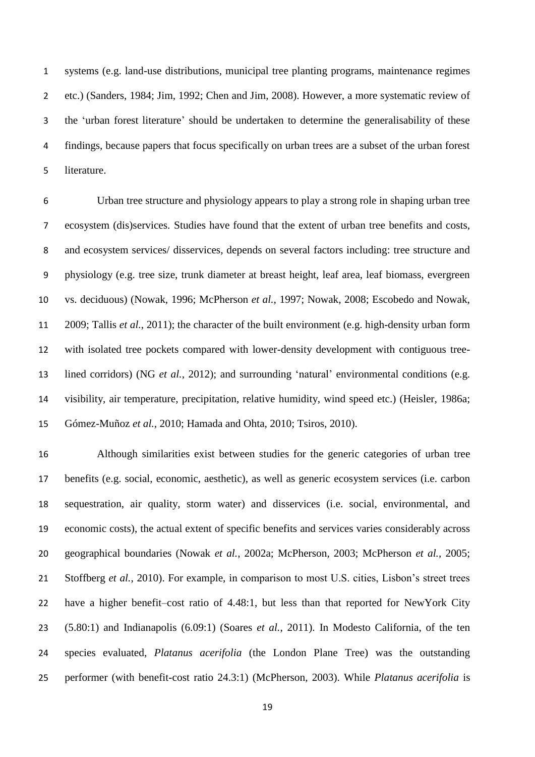systems (e.g. land-use distributions, municipal tree planting programs, maintenance regimes etc.) (Sanders, 1984; Jim, 1992; Chen and Jim, 2008). However, a more systematic review of the "urban forest literature" should be undertaken to determine the generalisability of these findings, because papers that focus specifically on urban trees are a subset of the urban forest literature.

 Urban tree structure and physiology appears to play a strong role in shaping urban tree ecosystem (dis)services. Studies have found that the extent of urban tree benefits and costs, and ecosystem services/ disservices, depends on several factors including: tree structure and physiology (e.g. tree size, trunk diameter at breast height, leaf area, leaf biomass, evergreen vs. deciduous) (Nowak, 1996; McPherson *et al.*, 1997; Nowak, 2008; Escobedo and Nowak, 2009; Tallis *et al.*, 2011); the character of the built environment (e.g. high-density urban form with isolated tree pockets compared with lower-density development with contiguous tree-13 lined corridors) (NG *et al.*, 2012); and surrounding 'natural' environmental conditions (e.g. visibility, air temperature, precipitation, relative humidity, wind speed etc.) (Heisler, 1986a; Gómez-Muñoz *et al.*, 2010; Hamada and Ohta, 2010; Tsiros, 2010).

 Although similarities exist between studies for the generic categories of urban tree benefits (e.g. social, economic, aesthetic), as well as generic ecosystem services (i.e. carbon sequestration, air quality, storm water) and disservices (i.e. social, environmental, and economic costs), the actual extent of specific benefits and services varies considerably across geographical boundaries (Nowak *et al.*, 2002a; McPherson, 2003; McPherson *et al.*, 2005; Stoffberg *et al.*, 2010). For example, in comparison to most U.S. cities, Lisbon"s street trees have a higher benefit–cost ratio of 4.48:1, but less than that reported for NewYork City (5.80:1) and Indianapolis (6.09:1) (Soares *et al.*, 2011). In Modesto California, of the ten species evaluated, *Platanus acerifolia* (the London Plane Tree) was the outstanding performer (with benefit-cost ratio 24.3:1) (McPherson, 2003). While *Platanus acerifolia* is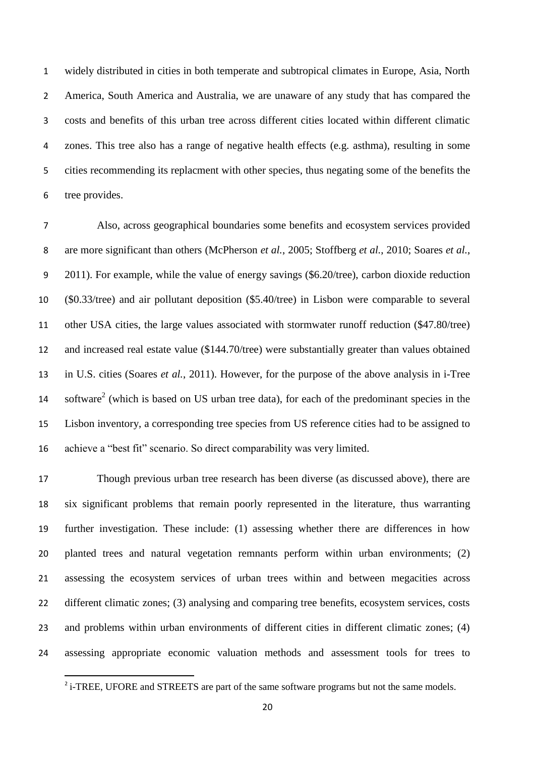widely distributed in cities in both temperate and subtropical climates in Europe, Asia, North America, South America and Australia, we are unaware of any study that has compared the costs and benefits of this urban tree across different cities located within different climatic zones. This tree also has a range of negative health effects (e.g. asthma), resulting in some cities recommending its replacment with other species, thus negating some of the benefits the tree provides.

 Also, across geographical boundaries some benefits and ecosystem services provided are more significant than others (McPherson *et al.*, 2005; Stoffberg *et al.*, 2010; Soares *et al.*, 2011). For example, while the value of energy savings (\$6.20/tree), carbon dioxide reduction (\$0.33/tree) and air pollutant deposition (\$5.40/tree) in Lisbon were comparable to several other USA cities, the large values associated with stormwater runoff reduction (\$47.80/tree) and increased real estate value (\$144.70/tree) were substantially greater than values obtained in U.S. cities (Soares *et al.*, 2011). However, for the purpose of the above analysis in i-Tree 14 software<sup>2</sup> (which is based on US urban tree data), for each of the predominant species in the Lisbon inventory, a corresponding tree species from US reference cities had to be assigned to achieve a "best fit" scenario. So direct comparability was very limited.

 Though previous urban tree research has been diverse (as discussed above), there are six significant problems that remain poorly represented in the literature, thus warranting further investigation. These include: (1) assessing whether there are differences in how planted trees and natural vegetation remnants perform within urban environments; (2) assessing the ecosystem services of urban trees within and between megacities across 22 different climatic zones; (3) analysing and comparing tree benefits, ecosystem services, costs and problems within urban environments of different cities in different climatic zones; (4) assessing appropriate economic valuation methods and assessment tools for trees to

**.** 

<sup>&</sup>lt;sup>2</sup> i-TREE, UFORE and STREETS are part of the same software programs but not the same models.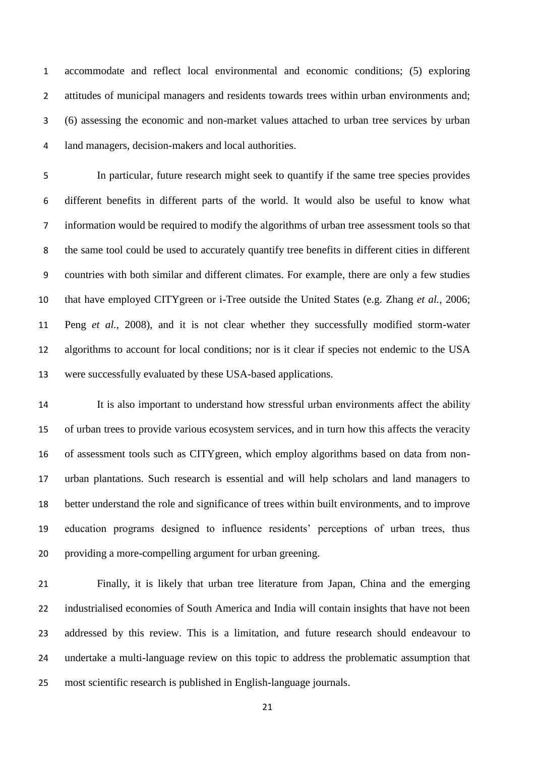accommodate and reflect local environmental and economic conditions; (5) exploring attitudes of municipal managers and residents towards trees within urban environments and; (6) assessing the economic and non-market values attached to urban tree services by urban land managers, decision-makers and local authorities.

 In particular, future research might seek to quantify if the same tree species provides different benefits in different parts of the world. It would also be useful to know what information would be required to modify the algorithms of urban tree assessment tools so that the same tool could be used to accurately quantify tree benefits in different cities in different countries with both similar and different climates. For example, there are only a few studies that have employed CITYgreen or i-Tree outside the United States (e.g. Zhang *et al.*, 2006; Peng *et al.*, 2008), and it is not clear whether they successfully modified storm-water algorithms to account for local conditions; nor is it clear if species not endemic to the USA were successfully evaluated by these USA-based applications.

 It is also important to understand how stressful urban environments affect the ability of urban trees to provide various ecosystem services, and in turn how this affects the veracity of assessment tools such as CITYgreen, which employ algorithms based on data from non- urban plantations. Such research is essential and will help scholars and land managers to better understand the role and significance of trees within built environments, and to improve education programs designed to influence residents" perceptions of urban trees, thus providing a more-compelling argument for urban greening.

 Finally, it is likely that urban tree literature from Japan, China and the emerging industrialised economies of South America and India will contain insights that have not been addressed by this review. This is a limitation, and future research should endeavour to undertake a multi-language review on this topic to address the problematic assumption that most scientific research is published in English-language journals.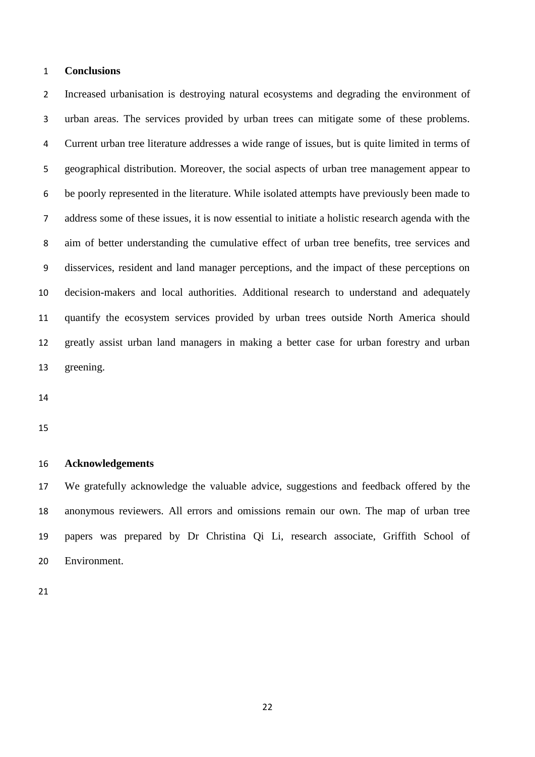## **Conclusions**

 Increased urbanisation is destroying natural ecosystems and degrading the environment of urban areas. The services provided by urban trees can mitigate some of these problems. Current urban tree literature addresses a wide range of issues, but is quite limited in terms of geographical distribution. Moreover, the social aspects of urban tree management appear to be poorly represented in the literature. While isolated attempts have previously been made to address some of these issues, it is now essential to initiate a holistic research agenda with the aim of better understanding the cumulative effect of urban tree benefits, tree services and disservices, resident and land manager perceptions, and the impact of these perceptions on decision-makers and local authorities. Additional research to understand and adequately quantify the ecosystem services provided by urban trees outside North America should greatly assist urban land managers in making a better case for urban forestry and urban greening.

#### **Acknowledgements**

 We gratefully acknowledge the valuable advice, suggestions and feedback offered by the anonymous reviewers. All errors and omissions remain our own. The map of urban tree papers was prepared by Dr Christina Qi Li, research associate, Griffith School of Environment.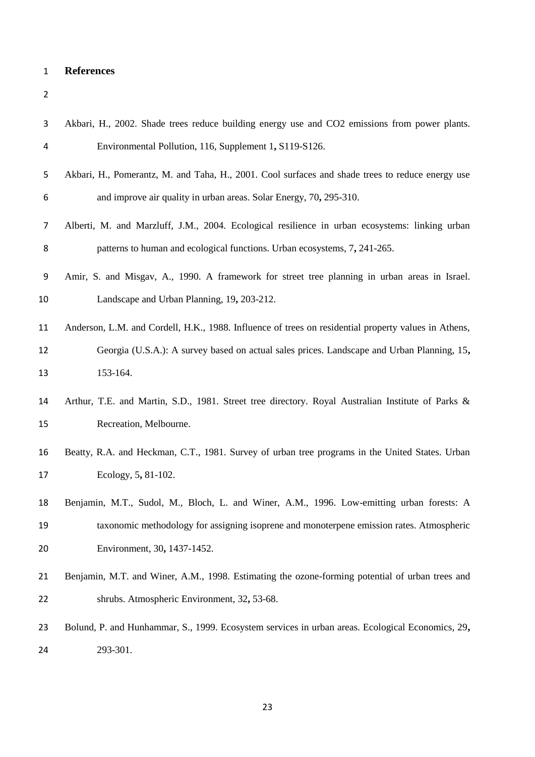# **References**

| ۰.  |
|-----|
| S   |
| . . |
|     |

| 3              | Akbari, H., 2002. Shade trees reduce building energy use and CO2 emissions from power plants.        |
|----------------|------------------------------------------------------------------------------------------------------|
| 4              | Environmental Pollution, 116, Supplement 1, S119-S126.                                               |
| 5              | Akbari, H., Pomerantz, M. and Taha, H., 2001. Cool surfaces and shade trees to reduce energy use     |
| 6              | and improve air quality in urban areas. Solar Energy, 70, 295-310.                                   |
| $\overline{7}$ | Alberti, M. and Marzluff, J.M., 2004. Ecological resilience in urban ecosystems: linking urban       |
| 8              | patterns to human and ecological functions. Urban ecosystems, 7, 241-265.                            |
| 9              | Amir, S. and Misgav, A., 1990. A framework for street tree planning in urban areas in Israel.        |
| 10             | Landscape and Urban Planning, 19, 203-212.                                                           |
| 11             | Anderson, L.M. and Cordell, H.K., 1988. Influence of trees on residential property values in Athens, |
| 12             | Georgia (U.S.A.): A survey based on actual sales prices. Landscape and Urban Planning, 15,           |
| 13             | 153-164.                                                                                             |
| 14             | Arthur, T.E. and Martin, S.D., 1981. Street tree directory. Royal Australian Institute of Parks &    |
| 15             | Recreation, Melbourne.                                                                               |
| 16             | Beatty, R.A. and Heckman, C.T., 1981. Survey of urban tree programs in the United States. Urban      |
| 17             | Ecology, 5, 81-102.                                                                                  |
| 18             | Benjamin, M.T., Sudol, M., Bloch, L. and Winer, A.M., 1996. Low-emitting urban forests: A            |
| 19             | taxonomic methodology for assigning isoprene and monoterpene emission rates. Atmospheric             |
| 20             | Environment, 30, 1437-1452.                                                                          |
| 21             | Benjamin, M.T. and Winer, A.M., 1998. Estimating the ozone-forming potential of urban trees and      |
| 22             | shrubs. Atmospheric Environment, 32, 53-68.                                                          |
| 23             | Bolund, P. and Hunhammar, S., 1999. Ecosystem services in urban areas. Ecological Economics, 29,     |
| 24             | 293-301.                                                                                             |
|                |                                                                                                      |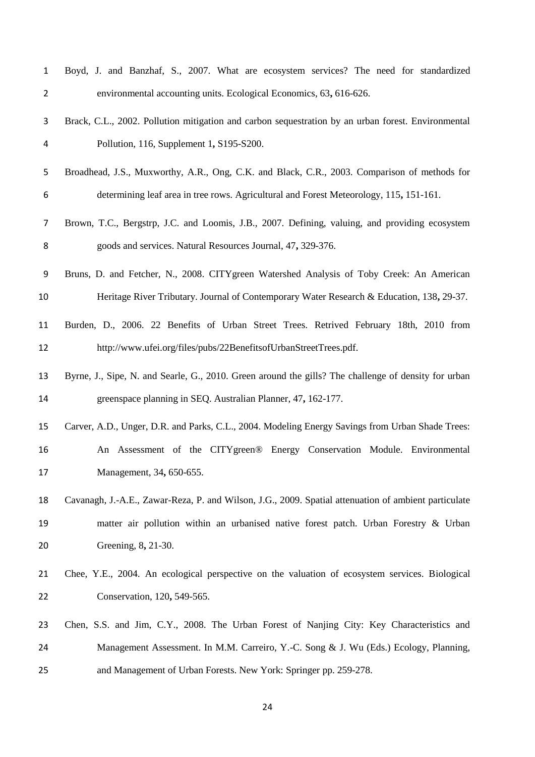| $\mathbf{1}$   | Boyd, J. and Banzhaf, S., 2007. What are ecosystem services? The need for standardized               |
|----------------|------------------------------------------------------------------------------------------------------|
| $\overline{2}$ | environmental accounting units. Ecological Economics, 63, 616-626.                                   |
| 3              | Brack, C.L., 2002. Pollution mitigation and carbon sequestration by an urban forest. Environmental   |
| 4              | Pollution, 116, Supplement 1, S195-S200.                                                             |
| 5              | Broadhead, J.S., Muxworthy, A.R., Ong, C.K. and Black, C.R., 2003. Comparison of methods for         |
| 6              | determining leaf area in tree rows. Agricultural and Forest Meteorology, 115, 151-161.               |
| 7              | Brown, T.C., Bergstrp, J.C. and Loomis, J.B., 2007. Defining, valuing, and providing ecosystem       |
| 8              | goods and services. Natural Resources Journal, 47, 329-376.                                          |
| 9              | Bruns, D. and Fetcher, N., 2008. CITY green Watershed Analysis of Toby Creek: An American            |
| 10             | Heritage River Tributary. Journal of Contemporary Water Research & Education, 138, 29-37.            |
| 11             | Burden, D., 2006. 22 Benefits of Urban Street Trees. Retrived February 18th, 2010 from               |
| 12             | http://www.ufei.org/files/pubs/22BenefitsofUrbanStreetTrees.pdf.                                     |
| 13             | Byrne, J., Sipe, N. and Searle, G., 2010. Green around the gills? The challenge of density for urban |
| 14             | greenspace planning in SEQ. Australian Planner, 47, 162-177.                                         |
| 15             | Carver, A.D., Unger, D.R. and Parks, C.L., 2004. Modeling Energy Savings from Urban Shade Trees:     |
| 16             | An Assessment of the CITYgreen® Energy Conservation Module. Environmental                            |
| 17             | Management, 34, 650-655.                                                                             |
| 18             | Cavanagh, J.-A.E., Zawar-Reza, P. and Wilson, J.G., 2009. Spatial attenuation of ambient particulate |
| 19             | matter air pollution within an urbanised native forest patch. Urban Forestry & Urban                 |
| 20             | Greening, 8, 21-30.                                                                                  |
| 21             | Chee, Y.E., 2004. An ecological perspective on the valuation of ecosystem services. Biological       |
| 22             | Conservation, 120, 549-565.                                                                          |
| 23             | Chen, S.S. and Jim, C.Y., 2008. The Urban Forest of Nanjing City: Key Characteristics and            |
| 24             | Management Assessment. In M.M. Carreiro, Y.-C. Song & J. Wu (Eds.) Ecology, Planning,                |
| 25             | and Management of Urban Forests. New York: Springer pp. 259-278.                                     |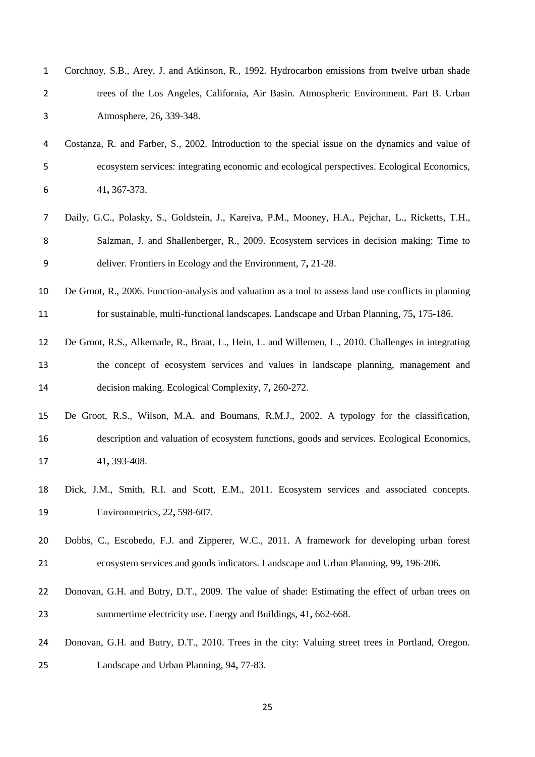| $\mathbf 1$    | Corchnoy, S.B., Arey, J. and Atkinson, R., 1992. Hydrocarbon emissions from twelve urban shade         |
|----------------|--------------------------------------------------------------------------------------------------------|
| $\overline{2}$ | trees of the Los Angeles, California, Air Basin. Atmospheric Environment. Part B. Urban                |
| 3              | Atmosphere, 26, 339-348.                                                                               |
| 4              | Costanza, R. and Farber, S., 2002. Introduction to the special issue on the dynamics and value of      |
| 5              | ecosystem services: integrating economic and ecological perspectives. Ecological Economics,            |
| 6              | 41, 367-373.                                                                                           |
| 7              | Daily, G.C., Polasky, S., Goldstein, J., Kareiva, P.M., Mooney, H.A., Pejchar, L., Ricketts, T.H.,     |
| 8              | Salzman, J. and Shallenberger, R., 2009. Ecosystem services in decision making: Time to                |
| 9              | deliver. Frontiers in Ecology and the Environment, 7, 21-28.                                           |
| 10             | De Groot, R., 2006. Function-analysis and valuation as a tool to assess land use conflicts in planning |
| 11             | for sustainable, multi-functional landscapes. Landscape and Urban Planning, 75, 175-186.               |
| 12             | De Groot, R.S., Alkemade, R., Braat, L., Hein, L. and Willemen, L., 2010. Challenges in integrating    |
| 13             | the concept of ecosystem services and values in landscape planning, management and                     |
| 14             | decision making. Ecological Complexity, 7, 260-272.                                                    |
| 15             | De Groot, R.S., Wilson, M.A. and Boumans, R.M.J., 2002. A typology for the classification,             |
| 16             | description and valuation of ecosystem functions, goods and services. Ecological Economics,            |
| 17             | 41, 393-408.                                                                                           |
| 18             | Dick, J.M., Smith, R.I. and Scott, E.M., 2011. Ecosystem services and associated concepts.             |
| 19             | Environmetrics, 22, 598-607.                                                                           |
| 20             | Dobbs, C., Escobedo, F.J. and Zipperer, W.C., 2011. A framework for developing urban forest            |
| 21             | ecosystem services and goods indicators. Landscape and Urban Planning, 99, 196-206.                    |
| 22             | Donovan, G.H. and Butry, D.T., 2009. The value of shade: Estimating the effect of urban trees on       |
| 23             | summertime electricity use. Energy and Buildings, 41, 662-668.                                         |
| 24             | Donovan, G.H. and Butry, D.T., 2010. Trees in the city: Valuing street trees in Portland, Oregon.      |
| 25             | Landscape and Urban Planning, 94, 77-83.                                                               |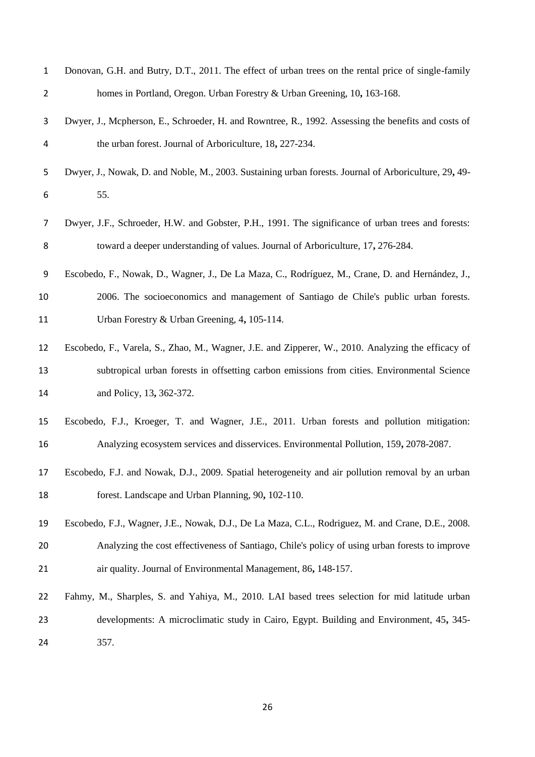| $\mathbf{1}$ | Donovan, G.H. and Butry, D.T., 2011. The effect of urban trees on the rental price of single-family   |
|--------------|-------------------------------------------------------------------------------------------------------|
| 2            | homes in Portland, Oregon. Urban Forestry & Urban Greening, 10, 163-168.                              |
| 3            | Dwyer, J., Mcpherson, E., Schroeder, H. and Rowntree, R., 1992. Assessing the benefits and costs of   |
| 4            | the urban forest. Journal of Arboriculture, 18, 227-234.                                              |
| 5            | Dwyer, J., Nowak, D. and Noble, M., 2003. Sustaining urban forests. Journal of Arboriculture, 29, 49- |
| 6            | 55.                                                                                                   |
| 7            | Dwyer, J.F., Schroeder, H.W. and Gobster, P.H., 1991. The significance of urban trees and forests:    |
| 8            | toward a deeper understanding of values. Journal of Arboriculture, 17, 276-284.                       |
| 9            | Escobedo, F., Nowak, D., Wagner, J., De La Maza, C., Rodríguez, M., Crane, D. and Hernández, J.,      |
| 10           | 2006. The socioeconomics and management of Santiago de Chile's public urban forests.                  |
| 11           | Urban Forestry & Urban Greening, 4, 105-114.                                                          |
| 12           | Escobedo, F., Varela, S., Zhao, M., Wagner, J.E. and Zipperer, W., 2010. Analyzing the efficacy of    |
| 13           | subtropical urban forests in offsetting carbon emissions from cities. Environmental Science           |
| 14           | and Policy, 13, 362-372.                                                                              |
| 15           | Escobedo, F.J., Kroeger, T. and Wagner, J.E., 2011. Urban forests and pollution mitigation:           |
| 16           | Analyzing ecosystem services and disservices. Environmental Pollution, 159, 2078-2087.                |
| 17           | Escobedo, F.J. and Nowak, D.J., 2009. Spatial heterogeneity and air pollution removal by an urban     |
| 18           | forest. Landscape and Urban Planning, 90, 102-110.                                                    |
| 19           | Escobedo, F.J., Wagner, J.E., Nowak, D.J., De La Maza, C.L., Rodriguez, M. and Crane, D.E., 2008.     |
| 20           | Analyzing the cost effectiveness of Santiago, Chile's policy of using urban forests to improve        |
| 21           | air quality. Journal of Environmental Management, 86, 148-157.                                        |
| 22           | Fahmy, M., Sharples, S. and Yahiya, M., 2010. LAI based trees selection for mid latitude urban        |
| 23           | developments: A microclimatic study in Cairo, Egypt. Building and Environment, 45, 345-               |
| 24           | 357.                                                                                                  |
|              |                                                                                                       |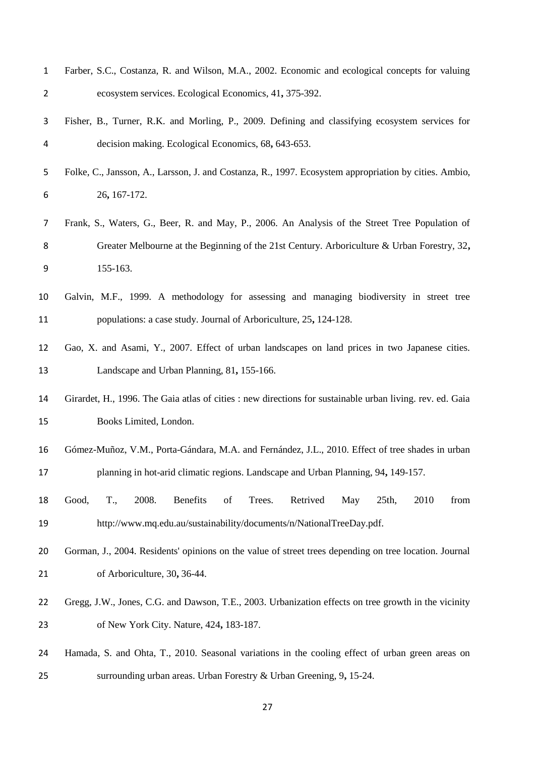| $\mathbf{1}$ | Farber, S.C., Costanza, R. and Wilson, M.A., 2002. Economic and ecological concepts for valuing           |
|--------------|-----------------------------------------------------------------------------------------------------------|
| 2            | ecosystem services. Ecological Economics, 41, 375-392.                                                    |
| 3            | Fisher, B., Turner, R.K. and Morling, P., 2009. Defining and classifying ecosystem services for           |
| 4            | decision making. Ecological Economics, 68, 643-653.                                                       |
| 5            | Folke, C., Jansson, A., Larsson, J. and Costanza, R., 1997. Ecosystem appropriation by cities. Ambio,     |
| 6            | 26, 167-172.                                                                                              |
| 7            | Frank, S., Waters, G., Beer, R. and May, P., 2006. An Analysis of the Street Tree Population of           |
| 8            | Greater Melbourne at the Beginning of the 21st Century. Arboriculture & Urban Forestry, $32$ ,            |
| 9            | 155-163.                                                                                                  |
| 10           | Galvin, M.F., 1999. A methodology for assessing and managing biodiversity in street tree                  |
| 11           | populations: a case study. Journal of Arboriculture, 25, 124-128.                                         |
| 12           | Gao, X. and Asami, Y., 2007. Effect of urban landscapes on land prices in two Japanese cities.            |
| 13           | Landscape and Urban Planning, 81, 155-166.                                                                |
| 14           | Girardet, H., 1996. The Gaia atlas of cities : new directions for sustainable urban living. rev. ed. Gaia |
| 15           | Books Limited, London.                                                                                    |
| 16           | Gómez-Muñoz, V.M., Porta-Gándara, M.A. and Fernández, J.L., 2010. Effect of tree shades in urban          |
| 17           | planning in hot-arid climatic regions. Landscape and Urban Planning, 94, 149-157.                         |
| 18           | 2010<br>Good,<br>T.,<br>2008.<br>Benefits<br>Retrived<br>25th,<br>from<br>of<br>Trees.<br>May             |
| 19           | http://www.mq.edu.au/sustainability/documents/n/NationalTreeDay.pdf.                                      |
| 20           | Gorman, J., 2004. Residents' opinions on the value of street trees depending on tree location. Journal    |
| 21           | of Arboriculture, 30, 36-44.                                                                              |
| 22           | Gregg, J.W., Jones, C.G. and Dawson, T.E., 2003. Urbanization effects on tree growth in the vicinity      |
| 23           | of New York City. Nature, 424, 183-187.                                                                   |
| 24           | Hamada, S. and Ohta, T., 2010. Seasonal variations in the cooling effect of urban green areas on          |
| 25           | surrounding urban areas. Urban Forestry & Urban Greening, 9, 15-24.                                       |
|              |                                                                                                           |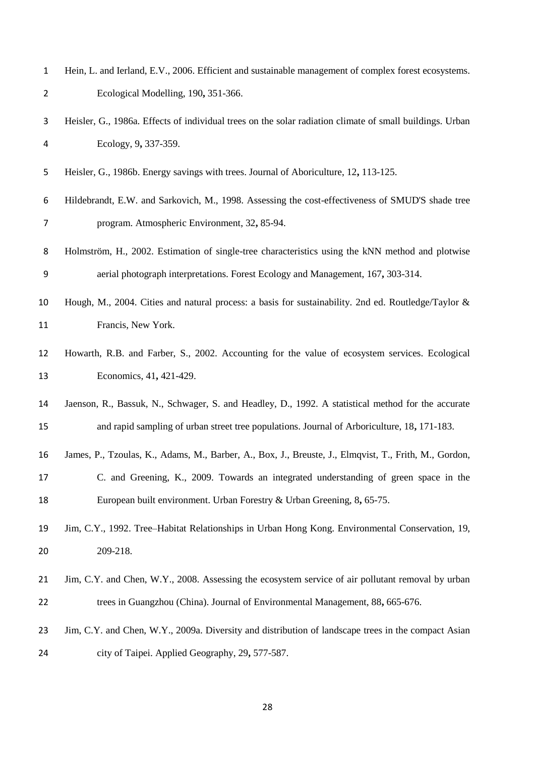| $\mathbf{1}$   | Hein, L. and Ierland, E.V., 2006. Efficient and sustainable management of complex forest ecosystems.     |
|----------------|----------------------------------------------------------------------------------------------------------|
| $\overline{2}$ | Ecological Modelling, 190, 351-366.                                                                      |
| 3              | Heisler, G., 1986a. Effects of individual trees on the solar radiation climate of small buildings. Urban |
| 4              | Ecology, 9, 337-359.                                                                                     |
| 5              | Heisler, G., 1986b. Energy savings with trees. Journal of Aboriculture, 12, 113-125.                     |
| 6              | Hildebrandt, E.W. and Sarkovich, M., 1998. Assessing the cost-effectiveness of SMUD'S shade tree         |
| 7              | program. Atmospheric Environment, 32, 85-94.                                                             |
| 8              | Holmström, H., 2002. Estimation of single-tree characteristics using the kNN method and plotwise         |
| 9              | aerial photograph interpretations. Forest Ecology and Management, 167, 303-314.                          |
| 10             | Hough, M., 2004. Cities and natural process: a basis for sustainability. 2nd ed. Routledge/Taylor &      |
| 11             | Francis, New York.                                                                                       |
| 12             | Howarth, R.B. and Farber, S., 2002. Accounting for the value of ecosystem services. Ecological           |
| 13             | Economics, 41, 421-429.                                                                                  |
| 14             | Jaenson, R., Bassuk, N., Schwager, S. and Headley, D., 1992. A statistical method for the accurate       |
| 15             | and rapid sampling of urban street tree populations. Journal of Arboriculture, 18, 171-183.              |
| 16             | James, P., Tzoulas, K., Adams, M., Barber, A., Box, J., Breuste, J., Elmqvist, T., Frith, M., Gordon,    |
| 17             | C. and Greening, K., 2009. Towards an integrated understanding of green space in the                     |
| 18             | European built environment. Urban Forestry & Urban Greening, 8, 65-75.                                   |
| 19             | Jim, C.Y., 1992. Tree-Habitat Relationships in Urban Hong Kong. Environmental Conservation, 19,          |
| 20             | 209-218.                                                                                                 |
| 21             | Jim, C.Y. and Chen, W.Y., 2008. Assessing the ecosystem service of air pollutant removal by urban        |
| 22             | trees in Guangzhou (China). Journal of Environmental Management, 88, 665-676.                            |
| 23             | Jim, C.Y. and Chen, W.Y., 2009a. Diversity and distribution of landscape trees in the compact Asian      |
| 24             | city of Taipei. Applied Geography, 29, 577-587.                                                          |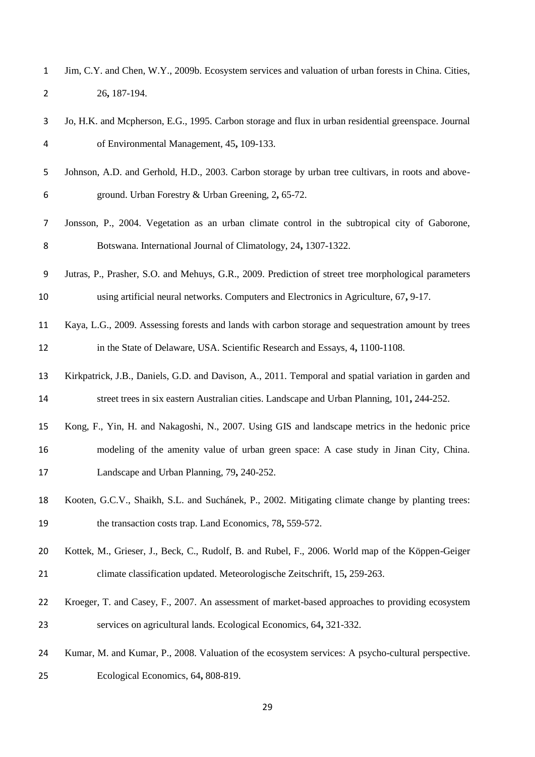- Jim, C.Y. and Chen, W.Y., 2009b. Ecosystem services and valuation of urban forests in China. Cities, 26**,** 187-194.
- Jo, H.K. and Mcpherson, E.G., 1995. Carbon storage and flux in urban residential greenspace. Journal of Environmental Management, 45**,** 109-133.
- Johnson, A.D. and Gerhold, H.D., 2003. Carbon storage by urban tree cultivars, in roots and above-ground. Urban Forestry & Urban Greening, 2**,** 65-72.
- Jonsson, P., 2004. Vegetation as an urban climate control in the subtropical city of Gaborone, Botswana. International Journal of Climatology, 24**,** 1307-1322.
- Jutras, P., Prasher, S.O. and Mehuys, G.R., 2009. Prediction of street tree morphological parameters using artificial neural networks. Computers and Electronics in Agriculture, 67**,** 9-17.
- Kaya, L.G., 2009. Assessing forests and lands with carbon storage and sequestration amount by trees in the State of Delaware, USA. Scientific Research and Essays, 4**,** 1100-1108.
- Kirkpatrick, J.B., Daniels, G.D. and Davison, A., 2011. Temporal and spatial variation in garden and street trees in six eastern Australian cities. Landscape and Urban Planning, 101**,** 244-252.
- Kong, F., Yin, H. and Nakagoshi, N., 2007. Using GIS and landscape metrics in the hedonic price modeling of the amenity value of urban green space: A case study in Jinan City, China. Landscape and Urban Planning, 79**,** 240-252.
- Kooten, G.C.V., Shaikh, S.L. and Suchánek, P., 2002. Mitigating climate change by planting trees: the transaction costs trap. Land Economics, 78**,** 559-572.
- Kottek, M., Grieser, J., Beck, C., Rudolf, B. and Rubel, F., 2006. World map of the Köppen-Geiger climate classification updated. Meteorologische Zeitschrift, 15**,** 259-263.
- Kroeger, T. and Casey, F., 2007. An assessment of market-based approaches to providing ecosystem services on agricultural lands. Ecological Economics, 64**,** 321-332.
- Kumar, M. and Kumar, P., 2008. Valuation of the ecosystem services: A psycho-cultural perspective. Ecological Economics, 64**,** 808-819.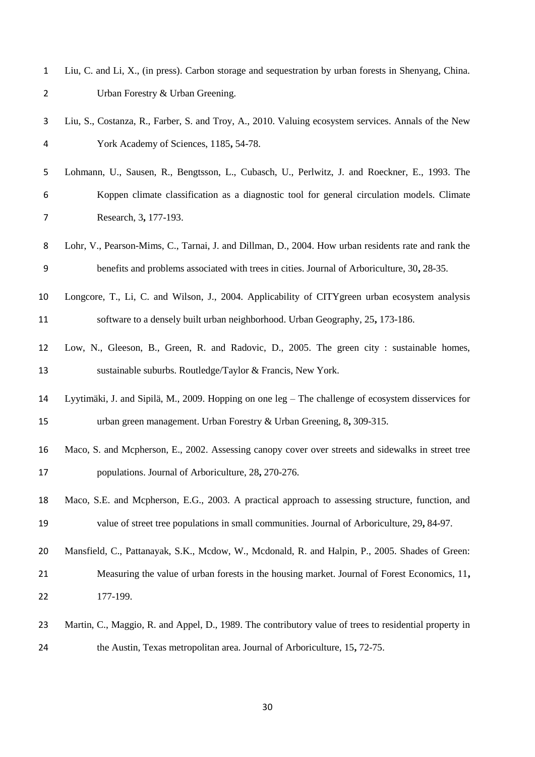|   | Liu, C. and Li, X., (in press). Carbon storage and sequestration by urban forests in Shenyang, China. |
|---|-------------------------------------------------------------------------------------------------------|
| 2 | Urban Forestry & Urban Greening.                                                                      |
|   | Liu, S., Costanza, R., Farber, S. and Troy, A., 2010. Valuing ecosystem services. Annals of the New   |
| 4 | York Academy of Sciences, 1185, 54-78.                                                                |
|   |                                                                                                       |

- Lohmann, U., Sausen, R., Bengtsson, L., Cubasch, U., Perlwitz, J. and Roeckner, E., 1993. The Koppen climate classification as a diagnostic tool for general circulation models. Climate Research, 3**,** 177-193.
- Lohr, V., Pearson-Mims, C., Tarnai, J. and Dillman, D., 2004. How urban residents rate and rank the benefits and problems associated with trees in cities. Journal of Arboriculture, 30**,** 28-35.
- Longcore, T., Li, C. and Wilson, J., 2004. Applicability of CITYgreen urban ecosystem analysis software to a densely built urban neighborhood. Urban Geography, 25**,** 173-186.
- Low, N., Gleeson, B., Green, R. and Radovic, D., 2005. The green city : sustainable homes, sustainable suburbs. Routledge/Taylor & Francis, New York.
- Lyytimäki, J. and Sipilä, M., 2009. Hopping on one leg The challenge of ecosystem disservices for urban green management. Urban Forestry & Urban Greening, 8**,** 309-315.
- Maco, S. and Mcpherson, E., 2002. Assessing canopy cover over streets and sidewalks in street tree populations. Journal of Arboriculture, 28**,** 270-276.
- Maco, S.E. and Mcpherson, E.G., 2003. A practical approach to assessing structure, function, and value of street tree populations in small communities. Journal of Arboriculture, 29**,** 84-97.
- Mansfield, C., Pattanayak, S.K., Mcdow, W., Mcdonald, R. and Halpin, P., 2005. Shades of Green: Measuring the value of urban forests in the housing market. Journal of Forest Economics, 11**,** 177-199.
- Martin, C., Maggio, R. and Appel, D., 1989. The contributory value of trees to residential property in the Austin, Texas metropolitan area. Journal of Arboriculture, 15**,** 72-75.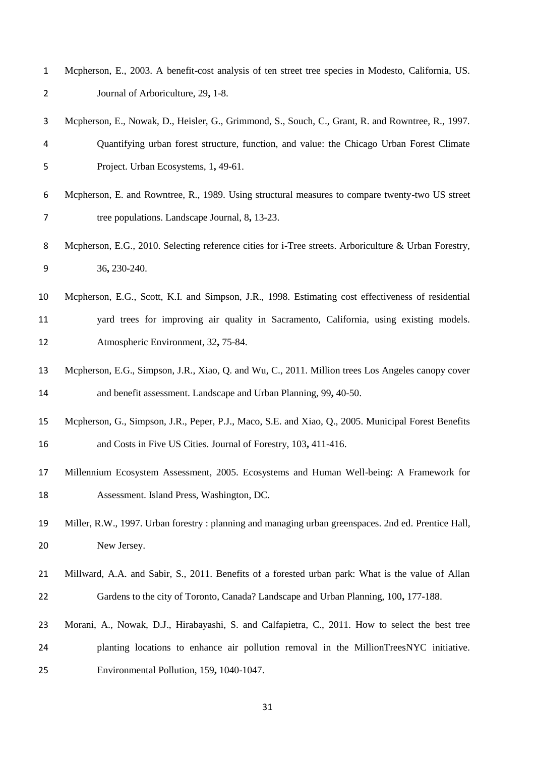| 1              | Mcpherson, E., 2003. A benefit-cost analysis of ten street tree species in Modesto, California, US.   |
|----------------|-------------------------------------------------------------------------------------------------------|
| $\overline{2}$ | Journal of Arboriculture, 29, 1-8.                                                                    |
| 3              | Mcpherson, E., Nowak, D., Heisler, G., Grimmond, S., Souch, C., Grant, R. and Rowntree, R., 1997.     |
| 4              | Quantifying urban forest structure, function, and value: the Chicago Urban Forest Climate             |
| 5              | Project. Urban Ecosystems, 1, 49-61.                                                                  |
| 6              | Mcpherson, E. and Rowntree, R., 1989. Using structural measures to compare twenty-two US street       |
| 7              | tree populations. Landscape Journal, 8, 13-23.                                                        |
| 8              | Mcpherson, E.G., 2010. Selecting reference cities for i-Tree streets. Arboriculture & Urban Forestry, |
| 9              | 36, 230-240.                                                                                          |
| 10             | Mcpherson, E.G., Scott, K.I. and Simpson, J.R., 1998. Estimating cost effectiveness of residential    |
| 11             | yard trees for improving air quality in Sacramento, California, using existing models.                |
| 12             | Atmospheric Environment, 32, 75-84.                                                                   |
| 13             | Mcpherson, E.G., Simpson, J.R., Xiao, Q. and Wu, C., 2011. Million trees Los Angeles canopy cover     |
| 14             | and benefit assessment. Landscape and Urban Planning, 99, 40-50.                                      |
| 15             | Mcpherson, G., Simpson, J.R., Peper, P.J., Maco, S.E. and Xiao, Q., 2005. Municipal Forest Benefits   |
| 16             | and Costs in Five US Cities. Journal of Forestry, 103, 411-416.                                       |
| 17             | Millennium Ecosystem Assessment, 2005. Ecosystems and Human Well-being: A Framework for               |
| 18             | Assessment. Island Press, Washington, DC.                                                             |
| 19             | Miller, R.W., 1997. Urban forestry: planning and managing urban greenspaces. 2nd ed. Prentice Hall,   |
| 20             | New Jersey.                                                                                           |
| 21             | Millward, A.A. and Sabir, S., 2011. Benefits of a forested urban park: What is the value of Allan     |
| 22             | Gardens to the city of Toronto, Canada? Landscape and Urban Planning, 100, 177-188.                   |
| 23             | Morani, A., Nowak, D.J., Hirabayashi, S. and Calfapietra, C., 2011. How to select the best tree       |
| 24             | planting locations to enhance air pollution removal in the MillionTreesNYC initiative.                |
| 25             | Environmental Pollution, 159, 1040-1047.                                                              |
|                |                                                                                                       |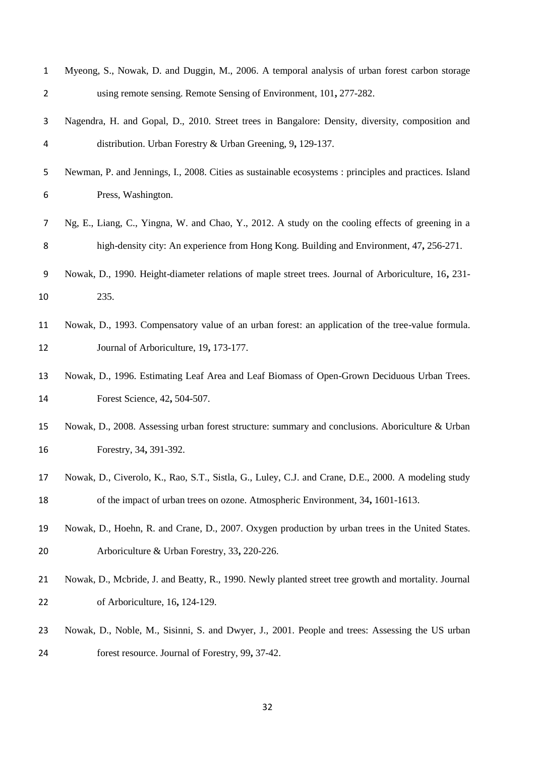| $\mathbf{1}$ | Myeong, S., Nowak, D. and Duggin, M., 2006. A temporal analysis of urban forest carbon storage         |
|--------------|--------------------------------------------------------------------------------------------------------|
| 2            | using remote sensing. Remote Sensing of Environment, 101, 277-282.                                     |
| 3            | Nagendra, H. and Gopal, D., 2010. Street trees in Bangalore: Density, diversity, composition and       |
| 4            | distribution. Urban Forestry & Urban Greening, 9, 129-137.                                             |
| 5            | Newman, P. and Jennings, I., 2008. Cities as sustainable ecosystems : principles and practices. Island |
| 6            | Press, Washington.                                                                                     |
| 7            | Ng, E., Liang, C., Yingna, W. and Chao, Y., 2012. A study on the cooling effects of greening in a      |
| 8            | high-density city: An experience from Hong Kong. Building and Environment, 47, 256-271.                |
| 9            | Nowak, D., 1990. Height-diameter relations of maple street trees. Journal of Arboriculture, 16, 231-   |
| 10           | 235.                                                                                                   |
| 11           | Nowak, D., 1993. Compensatory value of an urban forest: an application of the tree-value formula.      |
| 12           | Journal of Arboriculture, 19, 173-177.                                                                 |
| 13           | Nowak, D., 1996. Estimating Leaf Area and Leaf Biomass of Open-Grown Deciduous Urban Trees.            |
| 14           | Forest Science, 42, 504-507.                                                                           |
| 15           | Nowak, D., 2008. Assessing urban forest structure: summary and conclusions. Aboriculture & Urban       |
| 16           | Forestry, 34, 391-392.                                                                                 |
| 17           | Nowak, D., Civerolo, K., Rao, S.T., Sistla, G., Luley, C.J. and Crane, D.E., 2000. A modeling study    |
| 18           | of the impact of urban trees on ozone. Atmospheric Environment, 34, 1601-1613.                         |
| 19           | Nowak, D., Hoehn, R. and Crane, D., 2007. Oxygen production by urban trees in the United States.       |
| 20           | Arboriculture & Urban Forestry, 33, 220-226.                                                           |
| 21           | Nowak, D., Mcbride, J. and Beatty, R., 1990. Newly planted street tree growth and mortality. Journal   |
| 22           | of Arboriculture, 16, 124-129.                                                                         |
| 23           | Nowak, D., Noble, M., Sisinni, S. and Dwyer, J., 2001. People and trees: Assessing the US urban        |
| 24           | forest resource. Journal of Forestry, 99, 37-42.                                                       |
|              |                                                                                                        |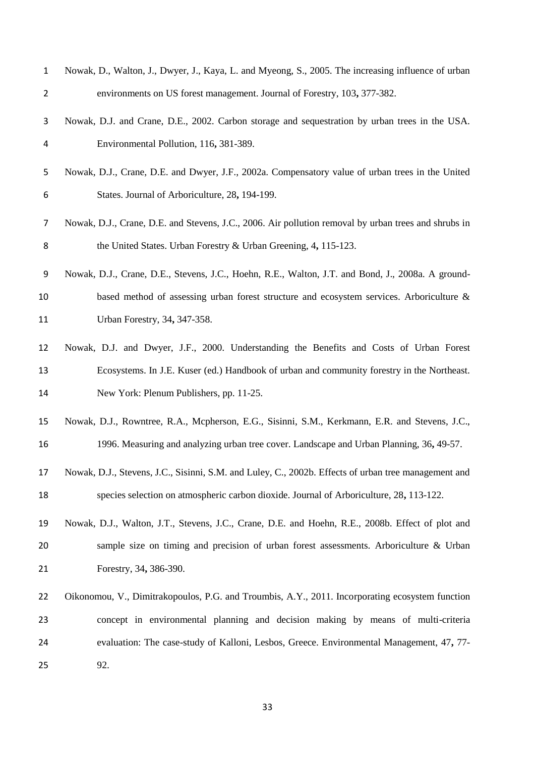| $\mathbf{1}$ | Nowak, D., Walton, J., Dwyer, J., Kaya, L. and Myeong, S., 2005. The increasing influence of urban   |
|--------------|------------------------------------------------------------------------------------------------------|
| 2            | environments on US forest management. Journal of Forestry, 103, 377-382.                             |
| 3            | Nowak, D.J. and Crane, D.E., 2002. Carbon storage and sequestration by urban trees in the USA.       |
| 4            | Environmental Pollution, 116, 381-389.                                                               |
| 5            | Nowak, D.J., Crane, D.E. and Dwyer, J.F., 2002a. Compensatory value of urban trees in the United     |
| 6            | States. Journal of Arboriculture, 28, 194-199.                                                       |
| 7            | Nowak, D.J., Crane, D.E. and Stevens, J.C., 2006. Air pollution removal by urban trees and shrubs in |
| 8            | the United States. Urban Forestry & Urban Greening, 4, 115-123.                                      |
| 9            | Nowak, D.J., Crane, D.E., Stevens, J.C., Hoehn, R.E., Walton, J.T. and Bond, J., 2008a. A ground-    |
| 10           | based method of assessing urban forest structure and ecosystem services. Arboriculture &             |
| 11           | Urban Forestry, 34, 347-358.                                                                         |
| 12           | Nowak, D.J. and Dwyer, J.F., 2000. Understanding the Benefits and Costs of Urban Forest              |
| 13           | Ecosystems. In J.E. Kuser (ed.) Handbook of urban and community forestry in the Northeast.           |
| 14           | New York: Plenum Publishers, pp. 11-25.                                                              |
| 15           | Nowak, D.J., Rowntree, R.A., Mcpherson, E.G., Sisinni, S.M., Kerkmann, E.R. and Stevens, J.C.,       |
| 16           | 1996. Measuring and analyzing urban tree cover. Landscape and Urban Planning, 36, 49-57.             |
| 17           | Nowak, D.J., Stevens, J.C., Sisinni, S.M. and Luley, C., 2002b. Effects of urban tree management and |
| 18           | species selection on atmospheric carbon dioxide. Journal of Arboriculture, 28, 113-122.              |
| 19           | Nowak, D.J., Walton, J.T., Stevens, J.C., Crane, D.E. and Hoehn, R.E., 2008b. Effect of plot and     |
| 20           | sample size on timing and precision of urban forest assessments. Arboriculture $\&$ Urban            |
| 21           | Forestry, 34, 386-390.                                                                               |
| 22           | Oikonomou, V., Dimitrakopoulos, P.G. and Troumbis, A.Y., 2011. Incorporating ecosystem function      |
| 23           | concept in environmental planning and decision making by means of multi-criteria                     |
| 24           | evaluation: The case-study of Kalloni, Lesbos, Greece. Environmental Management, 47, 77-             |
| 25           | 92.                                                                                                  |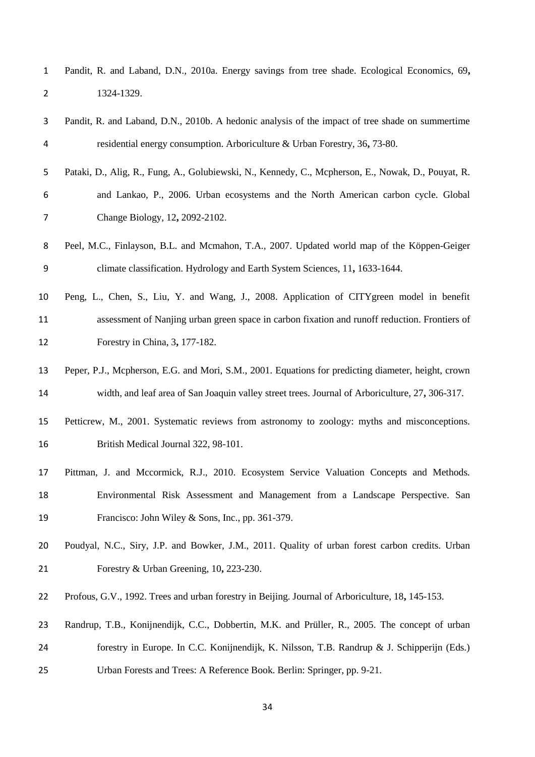| $\mathbf{1}$   | Pandit, R. and Laband, D.N., 2010a. Energy savings from tree shade. Ecological Economics, 69,       |
|----------------|-----------------------------------------------------------------------------------------------------|
| $\overline{2}$ | 1324-1329.                                                                                          |
| 3              | Pandit, R. and Laband, D.N., 2010b. A hedonic analysis of the impact of tree shade on summertime    |
| 4              | residential energy consumption. Arboriculture & Urban Forestry, 36, 73-80.                          |
| 5              | Pataki, D., Alig, R., Fung, A., Golubiewski, N., Kennedy, C., Mcpherson, E., Nowak, D., Pouyat, R.  |
| 6              | and Lankao, P., 2006. Urban ecosystems and the North American carbon cycle. Global                  |
| $\overline{7}$ | Change Biology, 12, 2092-2102.                                                                      |
| 8              | Peel, M.C., Finlayson, B.L. and Mcmahon, T.A., 2007. Updated world map of the Köppen-Geiger         |
| 9              | climate classification. Hydrology and Earth System Sciences, 11, 1633-1644.                         |
| 10             | Peng, L., Chen, S., Liu, Y. and Wang, J., 2008. Application of CITY green model in benefit          |
| 11             | assessment of Nanjing urban green space in carbon fixation and runoff reduction. Frontiers of       |
| 12             | Forestry in China, 3, 177-182.                                                                      |
| 13             | Peper, P.J., Mcpherson, E.G. and Mori, S.M., 2001. Equations for predicting diameter, height, crown |
| 14             | width, and leaf area of San Joaquin valley street trees. Journal of Arboriculture, 27, 306-317.     |
| 15             | Petticrew, M., 2001. Systematic reviews from astronomy to zoology: myths and misconceptions.        |
| 16             | British Medical Journal 322, 98-101.                                                                |
| 17             | Pittman, J. and Mccormick, R.J., 2010. Ecosystem Service Valuation Concepts and Methods.            |
| 18             | Environmental Risk Assessment and Management from a Landscape Perspective. San                      |
| 19             | Francisco: John Wiley & Sons, Inc., pp. 361-379.                                                    |
| 20             | Poudyal, N.C., Siry, J.P. and Bowker, J.M., 2011. Quality of urban forest carbon credits. Urban     |
| 21             | Forestry & Urban Greening, 10, 223-230.                                                             |
| 22             | Profous, G.V., 1992. Trees and urban forestry in Beijing. Journal of Arboriculture, 18, 145-153.    |
| 23             | Randrup, T.B., Konijnendijk, C.C., Dobbertin, M.K. and Prüller, R., 2005. The concept of urban      |
| 24             | forestry in Europe. In C.C. Konijnendijk, K. Nilsson, T.B. Randrup & J. Schipperijn (Eds.)          |
| 25             | Urban Forests and Trees: A Reference Book. Berlin: Springer, pp. 9-21.                              |
|                |                                                                                                     |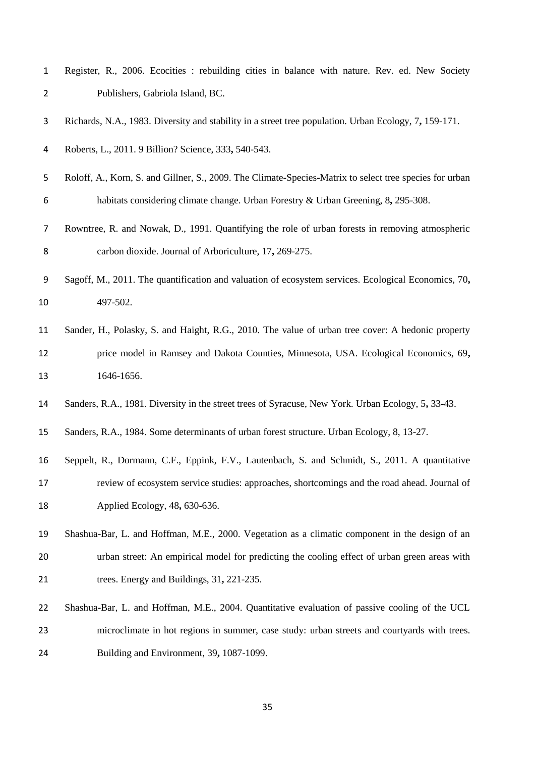| $\mathbf{1}$   | Register, R., 2006. Ecocities: rebuilding cities in balance with nature. Rev. ed. New Society           |
|----------------|---------------------------------------------------------------------------------------------------------|
| 2              | Publishers, Gabriola Island, BC.                                                                        |
| 3              | Richards, N.A., 1983. Diversity and stability in a street tree population. Urban Ecology, 7, 159-171.   |
| 4              | Roberts, L., 2011. 9 Billion? Science, 333, 540-543.                                                    |
| 5              | Roloff, A., Korn, S. and Gillner, S., 2009. The Climate-Species-Matrix to select tree species for urban |
| 6              | habitats considering climate change. Urban Forestry & Urban Greening, 8, 295-308.                       |
| $\overline{7}$ | Rowntree, R. and Nowak, D., 1991. Quantifying the role of urban forests in removing atmospheric         |
| 8              | carbon dioxide. Journal of Arboriculture, 17, 269-275.                                                  |
| 9              | Sagoff, M., 2011. The quantification and valuation of ecosystem services. Ecological Economics, 70,     |
| 10             | 497-502.                                                                                                |
| 11             | Sander, H., Polasky, S. and Haight, R.G., 2010. The value of urban tree cover: A hedonic property       |
| 12             | price model in Ramsey and Dakota Counties, Minnesota, USA. Ecological Economics, 69,                    |
| 13             | 1646-1656.                                                                                              |
| 14             | Sanders, R.A., 1981. Diversity in the street trees of Syracuse, New York. Urban Ecology, 5, 33-43.      |
| 15             | Sanders, R.A., 1984. Some determinants of urban forest structure. Urban Ecology, 8, 13-27.              |
| 16             | Seppelt, R., Dormann, C.F., Eppink, F.V., Lautenbach, S. and Schmidt, S., 2011. A quantitative          |
| 17             | review of ecosystem service studies: approaches, shortcomings and the road ahead. Journal of            |
| 18             | Applied Ecology, 48, 630-636.                                                                           |
| 19             | Shashua-Bar, L. and Hoffman, M.E., 2000. Vegetation as a climatic component in the design of an         |
| 20             | urban street: An empirical model for predicting the cooling effect of urban green areas with            |
| 21             | trees. Energy and Buildings, 31, 221-235.                                                               |
| 22             | Shashua-Bar, L. and Hoffman, M.E., 2004. Quantitative evaluation of passive cooling of the UCL          |
| 23             | microclimate in hot regions in summer, case study: urban streets and courtyards with trees.             |
| 24             | Building and Environment, 39, 1087-1099.                                                                |
|                |                                                                                                         |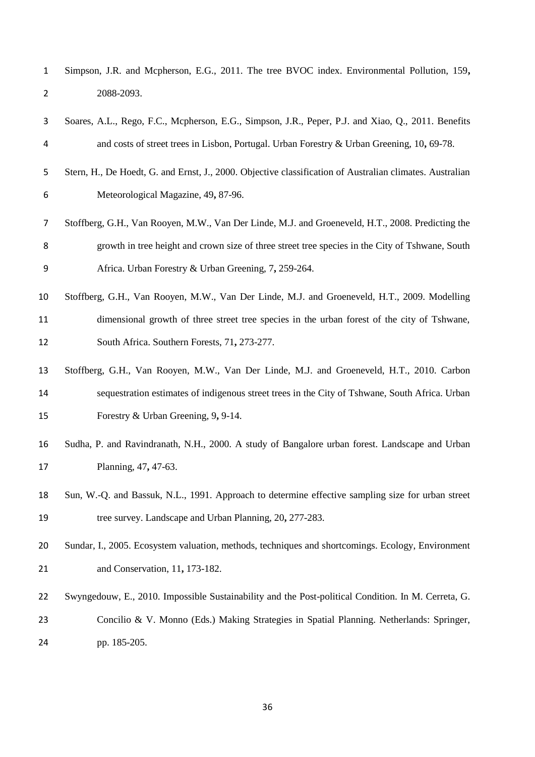| Simpson, J.R. and Mcpherson, E.G., 2011. The tree BVOC index. Environmental Pollution, 159, |  |  |  |  |  |
|---------------------------------------------------------------------------------------------|--|--|--|--|--|
| 2088-2093.                                                                                  |  |  |  |  |  |

- Soares, A.L., Rego, F.C., Mcpherson, E.G., Simpson, J.R., Peper, P.J. and Xiao, Q., 2011. Benefits and costs of street trees in Lisbon, Portugal. Urban Forestry & Urban Greening, 10**,** 69-78.
- Stern, H., De Hoedt, G. and Ernst, J., 2000. Objective classification of Australian climates. Australian Meteorological Magazine, 49**,** 87-96.
- Stoffberg, G.H., Van Rooyen, M.W., Van Der Linde, M.J. and Groeneveld, H.T., 2008. Predicting the growth in tree height and crown size of three street tree species in the City of Tshwane, South Africa. Urban Forestry & Urban Greening, 7**,** 259-264.
- Stoffberg, G.H., Van Rooyen, M.W., Van Der Linde, M.J. and Groeneveld, H.T., 2009. Modelling dimensional growth of three street tree species in the urban forest of the city of Tshwane, South Africa. Southern Forests, 71**,** 273-277.
- Stoffberg, G.H., Van Rooyen, M.W., Van Der Linde, M.J. and Groeneveld, H.T., 2010. Carbon sequestration estimates of indigenous street trees in the City of Tshwane, South Africa. Urban Forestry & Urban Greening, 9**,** 9-14.
- Sudha, P. and Ravindranath, N.H., 2000. A study of Bangalore urban forest. Landscape and Urban Planning, 47**,** 47-63.
- Sun, W.-Q. and Bassuk, N.L., 1991. Approach to determine effective sampling size for urban street tree survey. Landscape and Urban Planning, 20**,** 277-283.
- Sundar, I., 2005. Ecosystem valuation, methods, techniques and shortcomings. Ecology, Environment and Conservation, 11**,** 173-182.
- Swyngedouw, E., 2010. Impossible Sustainability and the Post-political Condition. In M. Cerreta, G. Concilio & V. Monno (Eds.) Making Strategies in Spatial Planning. Netherlands: Springer, pp. 185-205.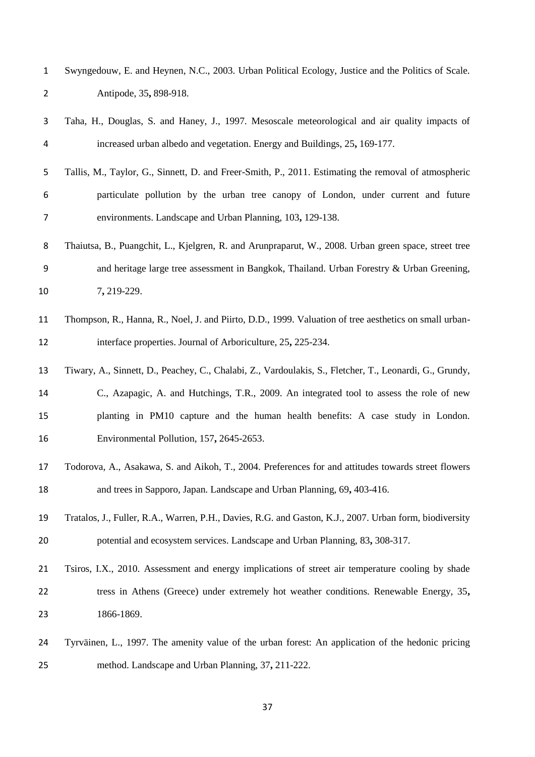| $\mathbf{1}$   | Swyngedouw, E. and Heynen, N.C., 2003. Urban Political Ecology, Justice and the Politics of Scale.      |
|----------------|---------------------------------------------------------------------------------------------------------|
| $\overline{2}$ | Antipode, 35, 898-918.                                                                                  |
| 3              | Taha, H., Douglas, S. and Haney, J., 1997. Mesoscale meteorological and air quality impacts of          |
| 4              | increased urban albedo and vegetation. Energy and Buildings, 25, 169-177.                               |
| 5              | Tallis, M., Taylor, G., Sinnett, D. and Freer-Smith, P., 2011. Estimating the removal of atmospheric    |
| 6              | particulate pollution by the urban tree canopy of London, under current and future                      |
| $\overline{7}$ | environments. Landscape and Urban Planning, 103, 129-138.                                               |
| 8              | Thaiutsa, B., Puangchit, L., Kjelgren, R. and Arunpraparut, W., 2008. Urban green space, street tree    |
| 9              | and heritage large tree assessment in Bangkok, Thailand. Urban Forestry & Urban Greening,               |
| 10             | 7, 219-229.                                                                                             |
| 11             | Thompson, R., Hanna, R., Noel, J. and Piirto, D.D., 1999. Valuation of tree aesthetics on small urban-  |
| 12             | interface properties. Journal of Arboriculture, 25, 225-234.                                            |
| 13             | Tiwary, A., Sinnett, D., Peachey, C., Chalabi, Z., Vardoulakis, S., Fletcher, T., Leonardi, G., Grundy, |
| 14             | C., Azapagic, A. and Hutchings, T.R., 2009. An integrated tool to assess the role of new                |
| 15             | planting in PM10 capture and the human health benefits: A case study in London.                         |
| 16             | Environmental Pollution, 157, 2645-2653.                                                                |
| 17             | Todorova, A., Asakawa, S. and Aikoh, T., 2004. Preferences for and attitudes towards street flowers     |
| 18             | and trees in Sapporo, Japan. Landscape and Urban Planning, 69, 403-416.                                 |
| 19             | Tratalos, J., Fuller, R.A., Warren, P.H., Davies, R.G. and Gaston, K.J., 2007. Urban form, biodiversity |
| 20             | potential and ecosystem services. Landscape and Urban Planning, 83, 308-317.                            |
| 21             | Tsiros, I.X., 2010. Assessment and energy implications of street air temperature cooling by shade       |
| 22             | tress in Athens (Greece) under extremely hot weather conditions. Renewable Energy, 35,                  |
| 23             | 1866-1869.                                                                                              |
| 24             | Tyrväinen, L., 1997. The amenity value of the urban forest: An application of the hedonic pricing       |

method. Landscape and Urban Planning, 37**,** 211-222.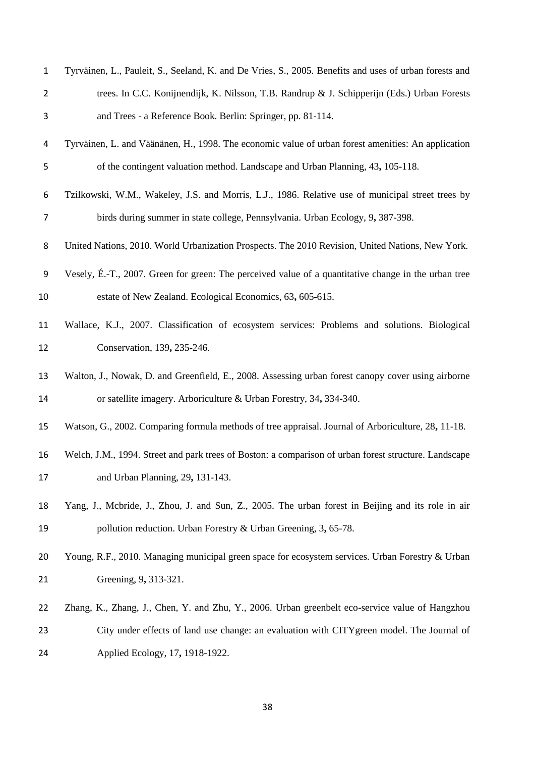| $\mathbf 1$    | Tyrväinen, L., Pauleit, S., Seeland, K. and De Vries, S., 2005. Benefits and uses of urban forests and |
|----------------|--------------------------------------------------------------------------------------------------------|
| $\overline{2}$ | trees. In C.C. Konijnendijk, K. Nilsson, T.B. Randrup & J. Schipperijn (Eds.) Urban Forests            |
| 3              | and Trees - a Reference Book. Berlin: Springer, pp. 81-114.                                            |
| 4              | Tyrväinen, L. and Väänänen, H., 1998. The economic value of urban forest amenities: An application     |
| 5              | of the contingent valuation method. Landscape and Urban Planning, 43, 105-118.                         |
| 6              | Tzilkowski, W.M., Wakeley, J.S. and Morris, L.J., 1986. Relative use of municipal street trees by      |
| 7              | birds during summer in state college, Pennsylvania. Urban Ecology, 9, 387-398.                         |
| 8              | United Nations, 2010. World Urbanization Prospects. The 2010 Revision, United Nations, New York.       |
| 9              | Vesely, É.-T., 2007. Green for green: The perceived value of a quantitative change in the urban tree   |
| 10             | estate of New Zealand. Ecological Economics, 63, 605-615.                                              |
| 11             | Wallace, K.J., 2007. Classification of ecosystem services: Problems and solutions. Biological          |
| 12             | Conservation, 139, 235-246.                                                                            |
| 13             | Walton, J., Nowak, D. and Greenfield, E., 2008. Assessing urban forest canopy cover using airborne     |
| 14             | or satellite imagery. Arboriculture & Urban Forestry, 34, 334-340.                                     |
| 15             | Watson, G., 2002. Comparing formula methods of tree appraisal. Journal of Arboriculture, 28, 11-18.    |
| 16             | Welch, J.M., 1994. Street and park trees of Boston: a comparison of urban forest structure. Landscape  |
| 17             | and Urban Planning, 29, 131-143.                                                                       |
| 18             | Yang, J., Mcbride, J., Zhou, J. and Sun, Z., 2005. The urban forest in Beijing and its role in air     |
| 19             | pollution reduction. Urban Forestry & Urban Greening, 3, 65-78.                                        |
| 20             | Young, R.F., 2010. Managing municipal green space for ecosystem services. Urban Forestry & Urban       |
| 21             | Greening, 9, 313-321.                                                                                  |
| 22             | Zhang, K., Zhang, J., Chen, Y. and Zhu, Y., 2006. Urban greenbelt eco-service value of Hangzhou        |
| 23             | City under effects of land use change: an evaluation with CITY green model. The Journal of             |
| 24             | Applied Ecology, 17, 1918-1922.                                                                        |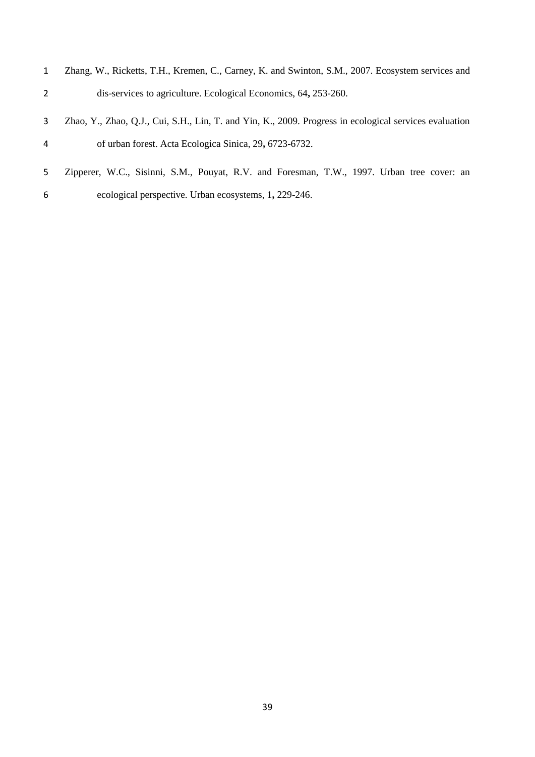| Zhang, W., Ricketts, T.H., Kremen, C., Carney, K. and Swinton, S.M., 2007. Ecosystem services and |
|---------------------------------------------------------------------------------------------------|
| dis-services to agriculture. Ecological Economics, 64, 253-260.                                   |

- Zhao, Y., Zhao, Q.J., Cui, S.H., Lin, T. and Yin, K., 2009. Progress in ecological services evaluation of urban forest. Acta Ecologica Sinica, 29**,** 6723-6732.
- Zipperer, W.C., Sisinni, S.M., Pouyat, R.V. and Foresman, T.W., 1997. Urban tree cover: an ecological perspective. Urban ecosystems, 1**,** 229-246.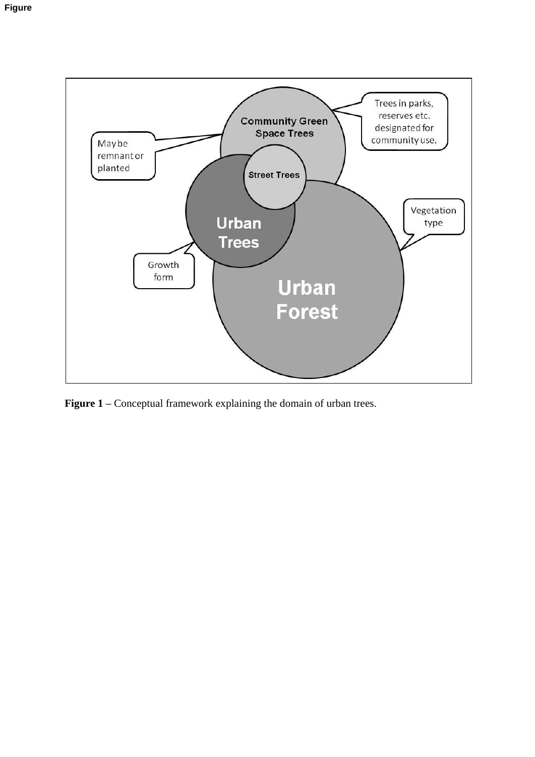

**Figure 1** – Conceptual framework explaining the domain of urban trees.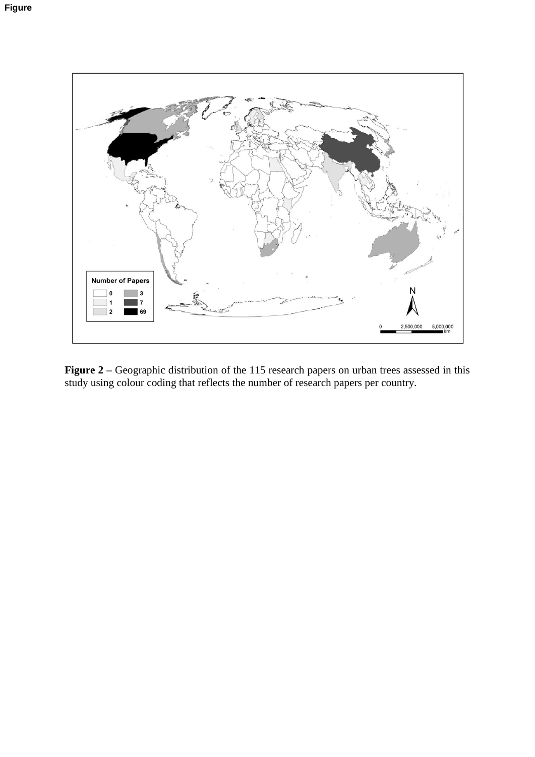

**Figure 2 –** Geographic distribution of the 115 research papers on urban trees assessed in this study using colour coding that reflects the number of research papers per country.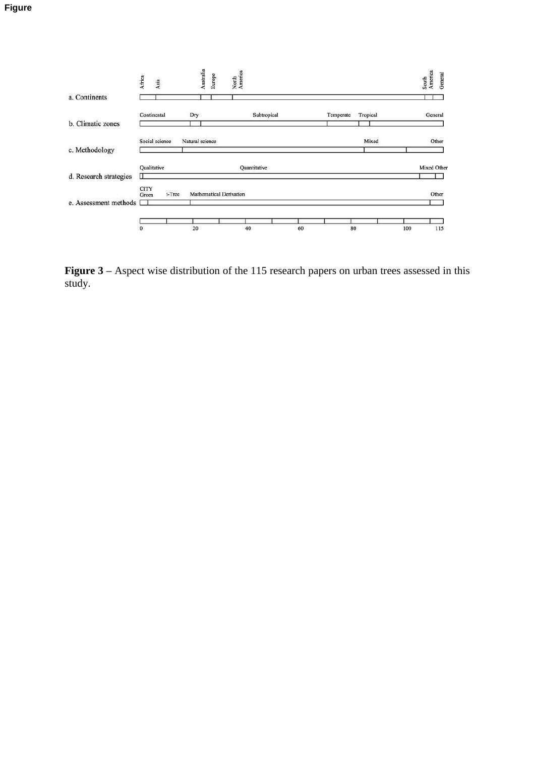

**Figure 3** – Aspect wise distribution of the 115 research papers on urban trees assessed in this study.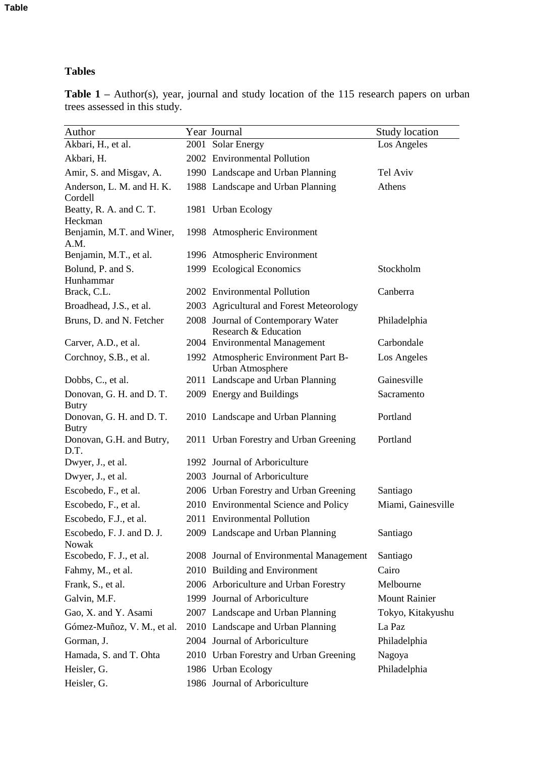# **Tables**

**Table 1 –** Author(s), year, journal and study location of the 115 research papers on urban trees assessed in this study.

| Author                                        | Year Journal                                                    | <b>Study location</b> |
|-----------------------------------------------|-----------------------------------------------------------------|-----------------------|
| Akbari, H., et al.                            | 2001 Solar Energy                                               | Los Angeles           |
| Akbari, H.                                    | 2002 Environmental Pollution                                    |                       |
| Amir, S. and Misgav, A.                       | 1990 Landscape and Urban Planning                               | Tel Aviv              |
| Anderson, L. M. and H. K.                     | 1988 Landscape and Urban Planning                               | Athens                |
| Cordell<br>Beatty, R. A. and C. T.<br>Heckman | 1981 Urban Ecology                                              |                       |
| Benjamin, M.T. and Winer,<br>A.M.             | 1998 Atmospheric Environment                                    |                       |
| Benjamin, M.T., et al.                        | 1996 Atmospheric Environment                                    |                       |
| Bolund, P. and S.<br>Hunhammar                | 1999 Ecological Economics                                       | Stockholm             |
| Brack, C.L.                                   | 2002 Environmental Pollution                                    | Canberra              |
| Broadhead, J.S., et al.                       | 2003 Agricultural and Forest Meteorology                        |                       |
| Bruns, D. and N. Fetcher                      | 2008 Journal of Contemporary Water<br>Research & Education      | Philadelphia          |
| Carver, A.D., et al.                          | 2004 Environmental Management                                   | Carbondale            |
| Corchnoy, S.B., et al.                        | 1992 Atmospheric Environment Part B-<br><b>Urban Atmosphere</b> | Los Angeles           |
| Dobbs, C., et al.                             | 2011 Landscape and Urban Planning                               | Gainesville           |
| Donovan, G. H. and D. T.<br><b>Butry</b>      | 2009 Energy and Buildings                                       | Sacramento            |
| Donovan, G. H. and D. T.<br><b>Butry</b>      | 2010 Landscape and Urban Planning                               | Portland              |
| Donovan, G.H. and Butry,<br>D.T.              | 2011 Urban Forestry and Urban Greening                          | Portland              |
| Dwyer, J., et al.                             | 1992 Journal of Arboriculture                                   |                       |
| Dwyer, J., et al.                             | 2003 Journal of Arboriculture                                   |                       |
| Escobedo, F., et al.                          | 2006 Urban Forestry and Urban Greening                          | Santiago              |
| Escobedo, F., et al.                          | 2010 Environmental Science and Policy                           | Miami, Gainesville    |
| Escobedo, F.J., et al.                        | 2011 Environmental Pollution                                    |                       |
| Escobedo, F. J. and D. J.<br>Nowak            | 2009 Landscape and Urban Planning                               | Santiago              |
| Escobedo, F. J., et al.                       | 2008 Journal of Environmental Management                        | Santiago              |
| Fahmy, M., et al.                             | 2010 Building and Environment                                   | Cairo                 |
| Frank, S., et al.                             | 2006 Arboriculture and Urban Forestry                           | Melbourne             |
| Galvin, M.F.                                  | 1999 Journal of Arboriculture                                   | <b>Mount Rainier</b>  |
| Gao, X. and Y. Asami                          | 2007 Landscape and Urban Planning                               | Tokyo, Kitakyushu     |
| Gómez-Muñoz, V. M., et al.                    | 2010 Landscape and Urban Planning                               | La Paz                |
| Gorman, J.                                    | 2004 Journal of Arboriculture                                   | Philadelphia          |
| Hamada, S. and T. Ohta                        | 2010 Urban Forestry and Urban Greening                          | Nagoya                |
| Heisler, G.                                   | 1986 Urban Ecology                                              | Philadelphia          |
| Heisler, G.                                   | 1986 Journal of Arboriculture                                   |                       |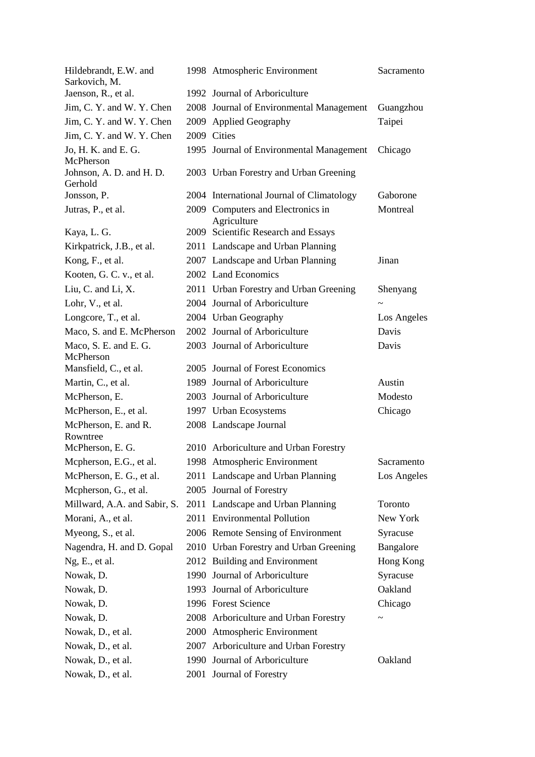| Hildebrandt, E.W. and<br>Sarkovich, M. | 1998 Atmospheric Environment                     | Sacramento            |
|----------------------------------------|--------------------------------------------------|-----------------------|
| Jaenson, R., et al.                    | 1992 Journal of Arboriculture                    |                       |
| Jim, C. Y. and W. Y. Chen              | 2008 Journal of Environmental Management         | Guangzhou             |
| Jim, C. Y. and W. Y. Chen              | 2009 Applied Geography                           | Taipei                |
| Jim, C. Y. and W. Y. Chen              | 2009 Cities                                      |                       |
| Jo, H. K. and E. G.<br>McPherson       | 1995 Journal of Environmental Management         | Chicago               |
| Johnson, A. D. and H. D.<br>Gerhold    | 2003 Urban Forestry and Urban Greening           |                       |
| Jonsson, P.                            | 2004 International Journal of Climatology        | Gaborone              |
| Jutras, P., et al.                     | 2009 Computers and Electronics in<br>Agriculture | Montreal              |
| Kaya, L. G.                            | 2009 Scientific Research and Essays              |                       |
| Kirkpatrick, J.B., et al.              | 2011 Landscape and Urban Planning                |                       |
| Kong, F., et al.                       | 2007 Landscape and Urban Planning                | Jinan                 |
| Kooten, G. C. v., et al.               | 2002 Land Economics                              |                       |
| Liu, C. and Li, X.                     | 2011 Urban Forestry and Urban Greening           | Shenyang              |
| Lohr, V., et al.                       | 2004 Journal of Arboriculture                    | $\tilde{\phantom{0}}$ |
| Longcore, T., et al.                   | 2004 Urban Geography                             | Los Angeles           |
| Maco, S. and E. McPherson              | 2002 Journal of Arboriculture                    | Davis                 |
| Maco, S. E. and E. G.<br>McPherson     | 2003 Journal of Arboriculture                    | Davis                 |
| Mansfield, C., et al.                  | 2005 Journal of Forest Economics                 |                       |
| Martin, C., et al.                     | 1989 Journal of Arboriculture                    | Austin                |
| McPherson, E.                          | 2003 Journal of Arboriculture                    | Modesto               |
| McPherson, E., et al.                  | 1997 Urban Ecosystems                            | Chicago               |
| McPherson, E. and R.<br>Rowntree       | 2008 Landscape Journal                           |                       |
| McPherson, E. G.                       | 2010 Arboriculture and Urban Forestry            |                       |
| Mcpherson, E.G., et al.                | 1998 Atmospheric Environment                     | Sacramento            |
| McPherson, E. G., et al.               | 2011 Landscape and Urban Planning                | Los Angeles           |
| Mcpherson, G., et al.                  | 2005 Journal of Forestry                         |                       |
| Millward, A.A. and Sabir, S.           | 2011 Landscape and Urban Planning                | Toronto               |
| Morani, A., et al.                     | 2011 Environmental Pollution                     | New York              |
| Myeong, S., et al.                     | 2006 Remote Sensing of Environment               | Syracuse              |
| Nagendra, H. and D. Gopal              | 2010 Urban Forestry and Urban Greening           | Bangalore             |
| Ng, E., et al.                         | 2012 Building and Environment                    | Hong Kong             |
| Nowak, D.                              | 1990 Journal of Arboriculture                    | Syracuse              |
| Nowak, D.                              | 1993 Journal of Arboriculture                    | Oakland               |
| Nowak, D.                              | 1996 Forest Science                              | Chicago               |
| Nowak, D.                              | 2008 Arboriculture and Urban Forestry            | $\tilde{\phantom{a}}$ |
| Nowak, D., et al.                      | 2000 Atmospheric Environment                     |                       |
| Nowak, D., et al.                      | 2007 Arboriculture and Urban Forestry            |                       |
| Nowak, D., et al.                      | 1990 Journal of Arboriculture                    | Oakland               |
| Nowak, D., et al.                      | 2001 Journal of Forestry                         |                       |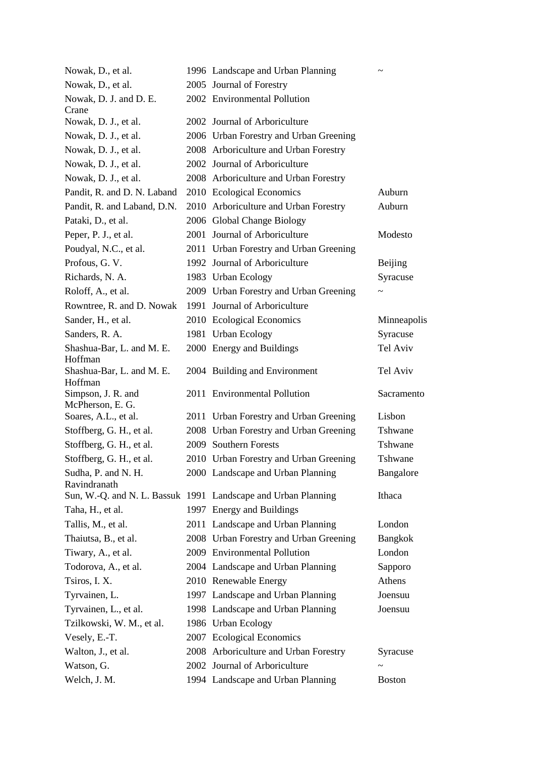| Nowak, D., et al.                      | 1996 Landscape and Urban Planning                             |               |
|----------------------------------------|---------------------------------------------------------------|---------------|
| Nowak, D., et al.                      | 2005 Journal of Forestry                                      |               |
| Nowak, D. J. and D. E.<br>Crane        | 2002 Environmental Pollution                                  |               |
| Nowak, D. J., et al.                   | 2002 Journal of Arboriculture                                 |               |
| Nowak, D. J., et al.                   | 2006 Urban Forestry and Urban Greening                        |               |
| Nowak, D. J., et al.                   | 2008 Arboriculture and Urban Forestry                         |               |
| Nowak, D. J., et al.                   | 2002 Journal of Arboriculture                                 |               |
| Nowak, D. J., et al.                   | 2008 Arboriculture and Urban Forestry                         |               |
| Pandit, R. and D. N. Laband            | 2010 Ecological Economics                                     | Auburn        |
| Pandit, R. and Laband, D.N.            | 2010 Arboriculture and Urban Forestry                         | Auburn        |
| Pataki, D., et al.                     | 2006 Global Change Biology                                    |               |
| Peper, P. J., et al.                   | 2001 Journal of Arboriculture                                 | Modesto       |
| Poudyal, N.C., et al.                  | 2011 Urban Forestry and Urban Greening                        |               |
| Profous, G.V.                          | 1992 Journal of Arboriculture                                 | Beijing       |
| Richards, N. A.                        | 1983 Urban Ecology                                            | Syracuse      |
| Roloff, A., et al.                     | 2009 Urban Forestry and Urban Greening                        |               |
| Rowntree, R. and D. Nowak              | 1991 Journal of Arboriculture                                 |               |
| Sander, H., et al.                     | 2010 Ecological Economics                                     | Minneapolis   |
| Sanders, R. A.                         | 1981 Urban Ecology                                            | Syracuse      |
| Shashua-Bar, L. and M. E.<br>Hoffman   | 2000 Energy and Buildings                                     | Tel Aviv      |
| Shashua-Bar, L. and M. E.<br>Hoffman   | 2004 Building and Environment                                 | Tel Aviv      |
| Simpson, J. R. and<br>McPherson, E. G. | 2011 Environmental Pollution                                  | Sacramento    |
| Soares, A.L., et al.                   | 2011 Urban Forestry and Urban Greening                        | Lisbon        |
| Stoffberg, G. H., et al.               | 2008 Urban Forestry and Urban Greening                        | Tshwane       |
| Stoffberg, G. H., et al.               | 2009 Southern Forests                                         | Tshwane       |
| Stoffberg, G. H., et al.               | 2010 Urban Forestry and Urban Greening                        | Tshwane       |
| Sudha, P. and N. H.<br>Ravindranath    | 2000 Landscape and Urban Planning                             | Bangalore     |
|                                        | Sun, W.-Q. and N. L. Bassuk 1991 Landscape and Urban Planning | Ithaca        |
| Taha, H., et al.                       | 1997 Energy and Buildings                                     |               |
| Tallis, M., et al.                     | 2011 Landscape and Urban Planning                             | London        |
| Thaiutsa, B., et al.                   | 2008 Urban Forestry and Urban Greening                        | Bangkok       |
| Tiwary, A., et al.                     | 2009 Environmental Pollution                                  | London        |
| Todorova, A., et al.                   | 2004 Landscape and Urban Planning                             | Sapporo       |
| Tsiros, I.X.                           | 2010 Renewable Energy                                         | Athens        |
| Tyrvainen, L.                          | 1997 Landscape and Urban Planning                             | Joensuu       |
| Tyrvainen, L., et al.                  | 1998 Landscape and Urban Planning                             | Joensuu       |
| Tzilkowski, W. M., et al.              | 1986 Urban Ecology                                            |               |
| Vesely, E.-T.                          | 2007 Ecological Economics                                     |               |
| Walton, J., et al.                     | 2008 Arboriculture and Urban Forestry                         | Syracuse      |
| Watson, G.                             | 2002 Journal of Arboriculture                                 | ~             |
| Welch, J. M.                           | 1994 Landscape and Urban Planning                             | <b>Boston</b> |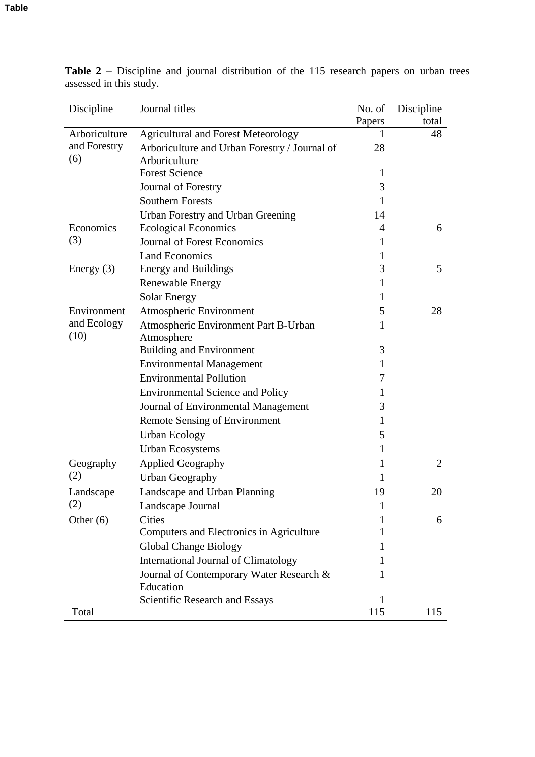| Discipline    | Journal titles                                | No. of         | Discipline |
|---------------|-----------------------------------------------|----------------|------------|
|               |                                               | Papers         | total      |
| Arboriculture | <b>Agricultural and Forest Meteorology</b>    | 1              | 48         |
| and Forestry  | Arboriculture and Urban Forestry / Journal of | 28             |            |
| (6)           | Arboriculture                                 |                |            |
|               | <b>Forest Science</b>                         | 1              |            |
|               | Journal of Forestry                           | 3              |            |
|               | <b>Southern Forests</b>                       | 1              |            |
|               | Urban Forestry and Urban Greening             | 14             |            |
| Economics     | <b>Ecological Economics</b>                   | $\overline{4}$ | 6          |
| (3)           | <b>Journal of Forest Economics</b>            | 1              |            |
|               | <b>Land Economics</b>                         | 1              |            |
| Energy $(3)$  | <b>Energy and Buildings</b>                   | 3              | 5          |
|               | Renewable Energy                              | 1              |            |
|               | Solar Energy                                  | 1              |            |
| Environment   | Atmospheric Environment                       | 5              | 28         |
| and Ecology   | Atmospheric Environment Part B-Urban          | 1              |            |
| (10)          | Atmosphere                                    |                |            |
|               | <b>Building and Environment</b>               | 3              |            |
|               | <b>Environmental Management</b>               | 1              |            |
|               | <b>Environmental Pollution</b>                | 7              |            |
|               | <b>Environmental Science and Policy</b>       | 1              |            |
|               | Journal of Environmental Management           | 3              |            |
|               | <b>Remote Sensing of Environment</b>          | 1              |            |
|               | Urban Ecology                                 | 5              |            |
|               | <b>Urban Ecosystems</b>                       | 1              |            |
| Geography     | <b>Applied Geography</b>                      | 1              | 2          |
| (2)           | <b>Urban Geography</b>                        | 1              |            |
| Landscape     | Landscape and Urban Planning                  | 19             | 20         |
| (2)           | Landscape Journal                             | 1              |            |
| Other $(6)$   | <b>Cities</b>                                 | 1              | 6          |
|               | Computers and Electronics in Agriculture      |                |            |
|               | <b>Global Change Biology</b>                  | T              |            |
|               | International Journal of Climatology          | 1              |            |
|               | Journal of Contemporary Water Research &      | 1              |            |
|               | Education                                     |                |            |
|               | Scientific Research and Essays                |                |            |
| Total         |                                               | 115            | 115        |

**Table 2 –** Discipline and journal distribution of the 115 research papers on urban trees assessed in this study.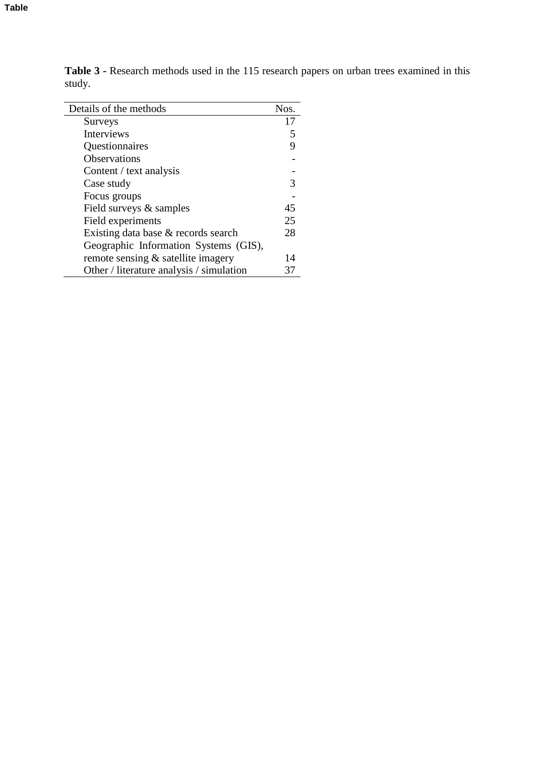| Details of the methods                   | Nos. |
|------------------------------------------|------|
| <b>Surveys</b>                           |      |
| <b>Interviews</b>                        |      |
| Questionnaires                           |      |
| <b>Observations</b>                      |      |
| Content / text analysis                  |      |
| Case study                               |      |
| Focus groups                             |      |
| Field surveys & samples                  | 45   |
| Field experiments                        | 25   |
| Existing data base & records search      | 28   |
| Geographic Information Systems (GIS),    |      |
| remote sensing & satellite imagery       | 14   |
| Other / literature analysis / simulation | 37   |

**Table 3 -** Research methods used in the 115 research papers on urban trees examined in this study.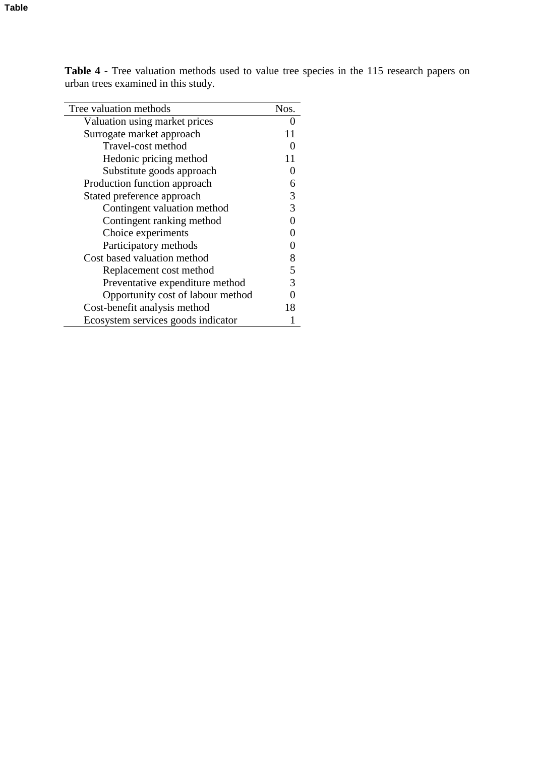| Tree valuation methods             | Nos. |
|------------------------------------|------|
| Valuation using market prices      |      |
| Surrogate market approach          | 11   |
| Travel-cost method                 |      |
| Hedonic pricing method             | 11   |
| Substitute goods approach          |      |
| Production function approach       |      |
| Stated preference approach         | 3    |
| Contingent valuation method        | 3    |
| Contingent ranking method          |      |
| Choice experiments                 |      |
| Participatory methods              |      |
| Cost based valuation method        | 8    |
| Replacement cost method            |      |
| Preventative expenditure method    | 3    |
| Opportunity cost of labour method  |      |
| Cost-benefit analysis method       | 18   |
| Ecosystem services goods indicator |      |

**Table 4 -** Tree valuation methods used to value tree species in the 115 research papers on urban trees examined in this study.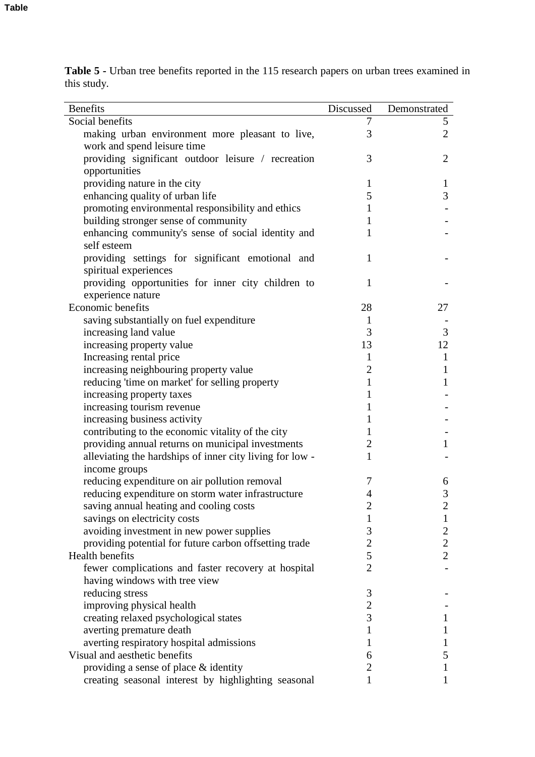| <b>Benefits</b>                                          | Discussed      | Demonstrated   |
|----------------------------------------------------------|----------------|----------------|
| Social benefits                                          | 7              | 5              |
| making urban environment more pleasant to live,          | 3              | $\overline{2}$ |
| work and spend leisure time                              |                |                |
| providing significant outdoor leisure / recreation       | 3              | $\overline{2}$ |
| opportunities                                            |                |                |
| providing nature in the city                             | $\mathbf{1}$   | $\mathbf{1}$   |
| enhancing quality of urban life                          | 5              | 3              |
| promoting environmental responsibility and ethics        | 1              |                |
| building stronger sense of community                     | 1              |                |
| enhancing community's sense of social identity and       | 1              |                |
| self esteem                                              |                |                |
| providing settings for significant emotional and         | 1              |                |
| spiritual experiences                                    |                |                |
| providing opportunities for inner city children to       | 1              |                |
| experience nature                                        |                |                |
| Economic benefits                                        | 28             | 27             |
| saving substantially on fuel expenditure                 | 1              |                |
| increasing land value                                    | 3              | 3              |
| increasing property value                                | 13             | 12             |
| Increasing rental price                                  | $\mathbf{1}$   | $\mathbf{1}$   |
| increasing neighbouring property value                   | $\overline{2}$ | $\mathbf{1}$   |
| reducing 'time on market' for selling property           | 1              | 1              |
| increasing property taxes                                | 1              |                |
| increasing tourism revenue                               | 1              |                |
| increasing business activity                             | 1              |                |
| contributing to the economic vitality of the city        | 1              |                |
| providing annual returns on municipal investments        | $\overline{2}$ |                |
| alleviating the hardships of inner city living for low - | 1              |                |
| income groups                                            |                |                |
| reducing expenditure on air pollution removal            | 7              | 6              |
| reducing expenditure on storm water infrastructure       | $\overline{4}$ | 3              |
| saving annual heating and cooling costs                  | $\overline{2}$ | 2              |
| savings on electricity costs                             | $\mathbf{1}$   | 1              |
| avoiding investment in new power supplies                | 3              | 2              |
| providing potential for future carbon offsetting trade   | $\overline{2}$ | $\overline{2}$ |
| Health benefits                                          | 5              | $\overline{2}$ |
| fewer complications and faster recovery at hospital      | $\overline{2}$ |                |
| having windows with tree view                            |                |                |
| reducing stress                                          | 3              |                |
| improving physical health                                | $\overline{c}$ |                |
| creating relaxed psychological states                    | $\overline{3}$ | 1              |
| averting premature death                                 |                |                |
| averting respiratory hospital admissions                 | 1              | 1              |
| Visual and aesthetic benefits                            | 6              | 5              |
| providing a sense of place & identity                    | 2              | 1              |
| creating seasonal interest by highlighting seasonal      | 1              | 1              |
|                                                          |                |                |

**Table 5 -** Urban tree benefits reported in the 115 research papers on urban trees examined in this study.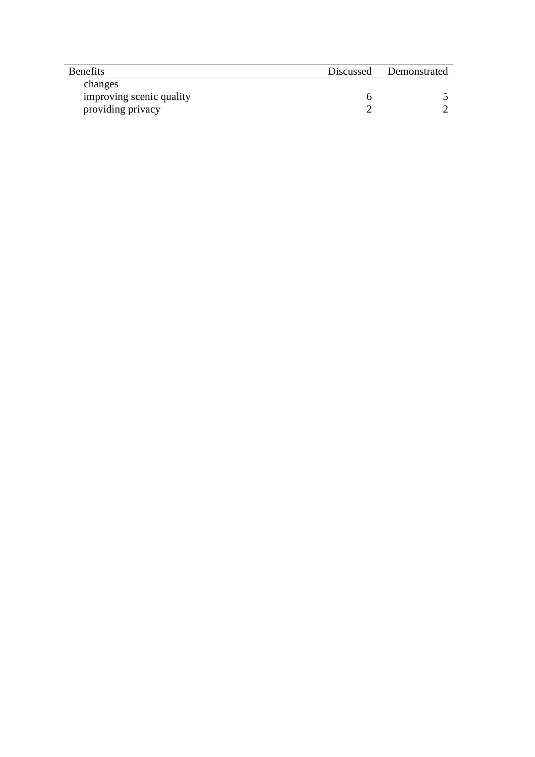| <b>Benefits</b>          | Discussed Demonstrated |
|--------------------------|------------------------|
| changes                  |                        |
| improving scenic quality |                        |
| providing privacy        |                        |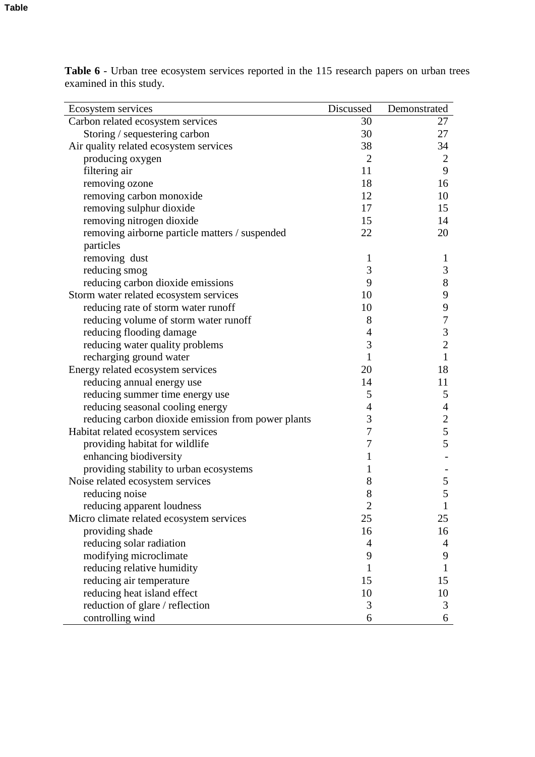| Ecosystem services                                 | Discussed      | Demonstrated   |
|----------------------------------------------------|----------------|----------------|
| Carbon related ecosystem services                  | 30             | 27             |
| Storing / sequestering carbon                      | 30             | 27             |
| Air quality related ecosystem services             | 38             | 34             |
| producing oxygen                                   | $\overline{2}$ | $\overline{2}$ |
| filtering air                                      | 11             | 9              |
| removing ozone                                     | 18             | 16             |
| removing carbon monoxide                           | 12             | 10             |
| removing sulphur dioxide                           | 17             | 15             |
| removing nitrogen dioxide                          | 15             | 14             |
| removing airborne particle matters / suspended     | 22             | 20             |
| particles                                          |                |                |
| removing dust                                      | 1              | $\mathbf{1}$   |
| reducing smog                                      | 3              | 3              |
| reducing carbon dioxide emissions                  | 9              | $8\,$          |
| Storm water related ecosystem services             | 10             | 9              |
| reducing rate of storm water runoff                | 10             | 9              |
| reducing volume of storm water runoff              | 8              | $\overline{7}$ |
| reducing flooding damage                           | 4              | $\mathfrak{Z}$ |
| reducing water quality problems                    | 3              | $\overline{2}$ |
| recharging ground water                            | $\mathbf{1}$   | $\mathbf{1}$   |
| Energy related ecosystem services                  | 20             | 18             |
| reducing annual energy use                         | 14             | 11             |
| reducing summer time energy use                    | 5              | 5              |
| reducing seasonal cooling energy                   | 4              | $\overline{4}$ |
| reducing carbon dioxide emission from power plants | 3              | $\mathbf{2}$   |
| Habitat related ecosystem services                 | 7              | 5              |
| providing habitat for wildlife                     | 7              | 5              |
| enhancing biodiversity                             | 1              |                |
| providing stability to urban ecosystems            |                |                |
| Noise related ecosystem services                   | 8              | 5              |
| reducing noise                                     | 8              | 5              |
| reducing apparent loudness                         | $\overline{c}$ | $\mathbf{1}$   |
| Micro climate related ecosystem services           | 25             | 25             |
| providing shade                                    | 16             | 16             |
| reducing solar radiation                           | 4              | 4              |
| modifying microclimate                             | 9              | 9              |
| reducing relative humidity                         | 1              |                |
| reducing air temperature                           | 15             | 15             |
| reducing heat island effect                        | 10             | 10             |
| reduction of glare / reflection                    | 3              | 3              |
| controlling wind                                   | 6              | 6              |

Table 6 - Urban tree ecosystem services reported in the 115 research papers on urban trees examined in this study.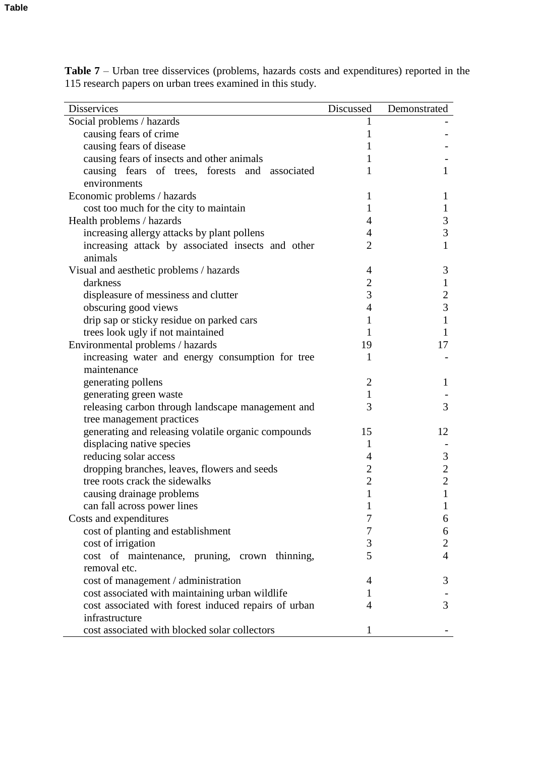| <b>Disservices</b>                                   | Discussed      | Demonstrated   |
|------------------------------------------------------|----------------|----------------|
| Social problems / hazards                            |                |                |
| causing fears of crime                               | 1              |                |
| causing fears of disease                             | 1              |                |
| causing fears of insects and other animals           | 1              |                |
| causing fears of trees, forests and associated       | 1              | 1              |
| environments                                         |                |                |
| Economic problems / hazards                          | 1              | 1              |
| cost too much for the city to maintain               | 1              | $\mathbf{1}$   |
| Health problems / hazards                            | 4              | 3              |
| increasing allergy attacks by plant pollens          | 4              | 3              |
| increasing attack by associated insects and other    | $\overline{2}$ | $\mathbf{1}$   |
| animals                                              |                |                |
| Visual and aesthetic problems / hazards              | 4              | 3              |
| darkness                                             | $\overline{c}$ | $\mathbf{1}$   |
| displeasure of messiness and clutter                 | $\overline{3}$ | $\overline{2}$ |
| obscuring good views                                 | $\overline{4}$ | 3              |
| drip sap or sticky residue on parked cars            | $\mathbf{1}$   | $\mathbf{1}$   |
| trees look ugly if not maintained                    | 1              | 1              |
| Environmental problems / hazards                     | 19             | 17             |
| increasing water and energy consumption for tree     | 1              |                |
| maintenance                                          |                |                |
| generating pollens                                   | $\overline{2}$ | 1              |
| generating green waste                               | $\mathbf{1}$   |                |
| releasing carbon through landscape management and    | 3              | 3              |
| tree management practices                            |                |                |
| generating and releasing volatile organic compounds  | 15             | 12             |
| displacing native species                            | 1              |                |
| reducing solar access                                | 4              | 3              |
| dropping branches, leaves, flowers and seeds         | $\overline{2}$ | $\overline{2}$ |
| tree roots crack the sidewalks                       | $\mathbf{2}$   | $\mathfrak{2}$ |
| causing drainage problems                            | $\mathbf{1}$   | 1              |
| can fall across power lines                          | 1              | $\mathbf{I}$   |
| Costs and expenditures                               | 7              | 6              |
| cost of planting and establishment                   | 7              | 6              |
| cost of irrigation                                   | 3              |                |
| cost of maintenance, pruning, crown thinning,        | 5              | $\overline{4}$ |
| removal etc.                                         |                |                |
| cost of management / administration                  | 4              | 3              |
| cost associated with maintaining urban wildlife      | 1              |                |
| cost associated with forest induced repairs of urban | $\overline{4}$ | 3              |
| infrastructure                                       |                |                |
| cost associated with blocked solar collectors        | 1              |                |

**Table 7** – Urban tree disservices (problems, hazards costs and expenditures) reported in the 115 research papers on urban trees examined in this study.